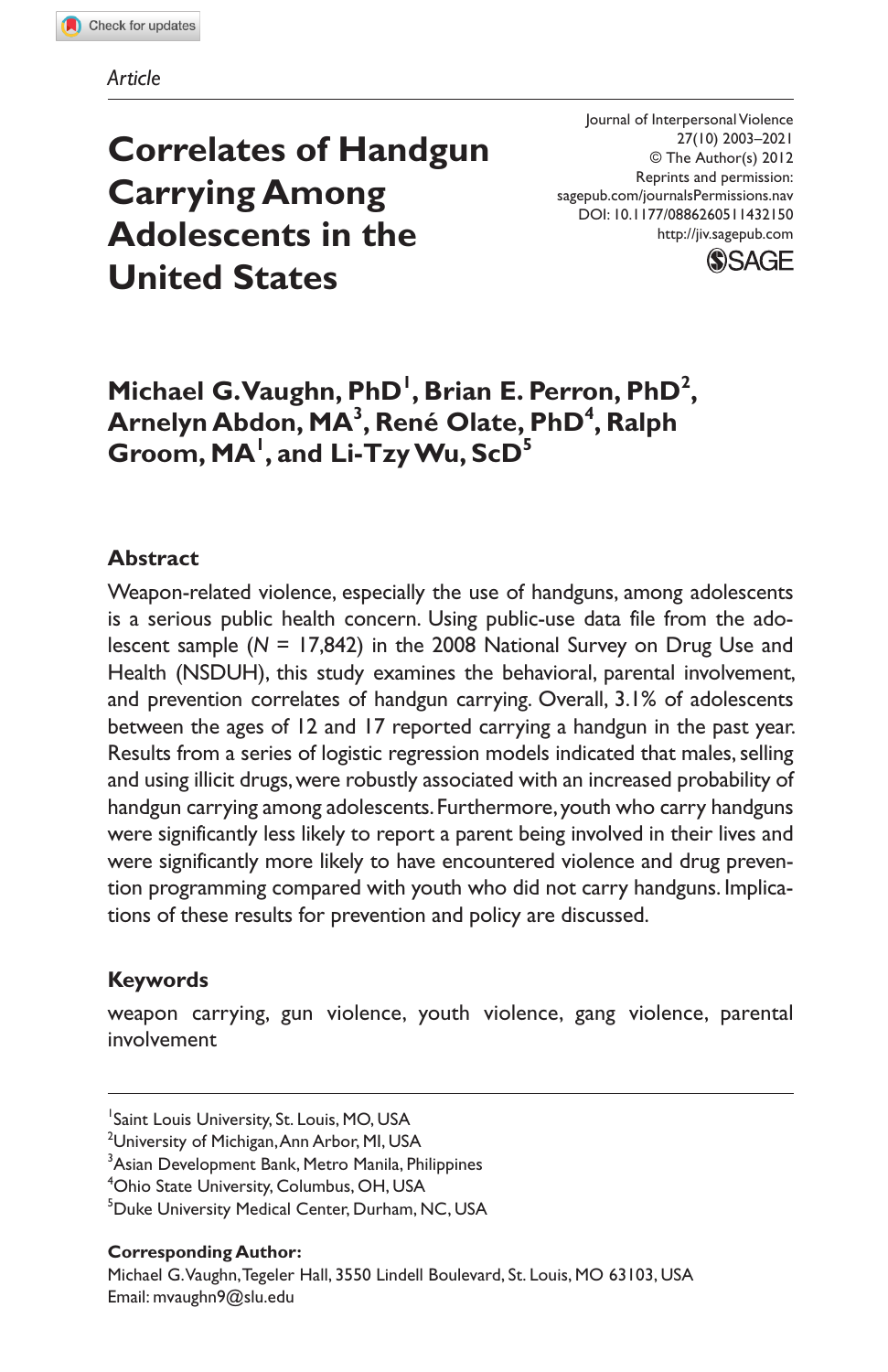# **Correlates of Handgun Carrying Among Adolescents in the United States**

Journal of Interpersonal Violence 27(10) 2003–2021 © The Author(s) 2012 Reprints and permission: sagepub.com/journalsPermissions.nav DOI: 10.1177/0886260511432150 http://jiv.sagepub.com



# Michael G.Vaughn, PhD<sup>1</sup>, Brian E. Perron, PhD<sup>2</sup>, **Arnelyn Abdon, MA3 , René Olate, PhD4 , Ralph**   $\mathsf{Groom}, \mathsf{MA}^{\mathsf{I}}, \mathsf{and}\ \mathsf{Li}\text{-}\mathsf{Tzy}\ \mathsf{Wu}, \mathsf{ScD}^5$

### **Abstract**

Weapon-related violence, especially the use of handguns, among adolescents is a serious public health concern. Using public-use data file from the adolescent sample (*N* = 17,842) in the 2008 National Survey on Drug Use and Health (NSDUH), this study examines the behavioral, parental involvement, and prevention correlates of handgun carrying. Overall, 3.1% of adolescents between the ages of 12 and 17 reported carrying a handgun in the past year. Results from a series of logistic regression models indicated that males, selling and using illicit drugs, were robustly associated with an increased probability of handgun carrying among adolescents. Furthermore, youth who carry handguns were significantly less likely to report a parent being involved in their lives and were significantly more likely to have encountered violence and drug prevention programming compared with youth who did not carry handguns. Implications of these results for prevention and policy are discussed.

#### **Keywords**

weapon carrying, gun violence, youth violence, gang violence, parental involvement

#### **Corresponding Author:**

<sup>&</sup>lt;sup>1</sup>Saint Louis University, St. Louis, MO, USA

<sup>&</sup>lt;sup>2</sup>University of Michigan, Ann Arbor, MI, USA

<sup>&</sup>lt;sup>3</sup>Asian Development Bank, Metro Manila, Philippines

<sup>4</sup> Ohio State University, Columbus, OH, USA

<sup>5</sup> Duke University Medical Center, Durham, NC, USA

Michael G. Vaughn, Tegeler Hall, 3550 Lindell Boulevard, St. Louis, MO 63103, USA Email: mvaughn9@slu.edu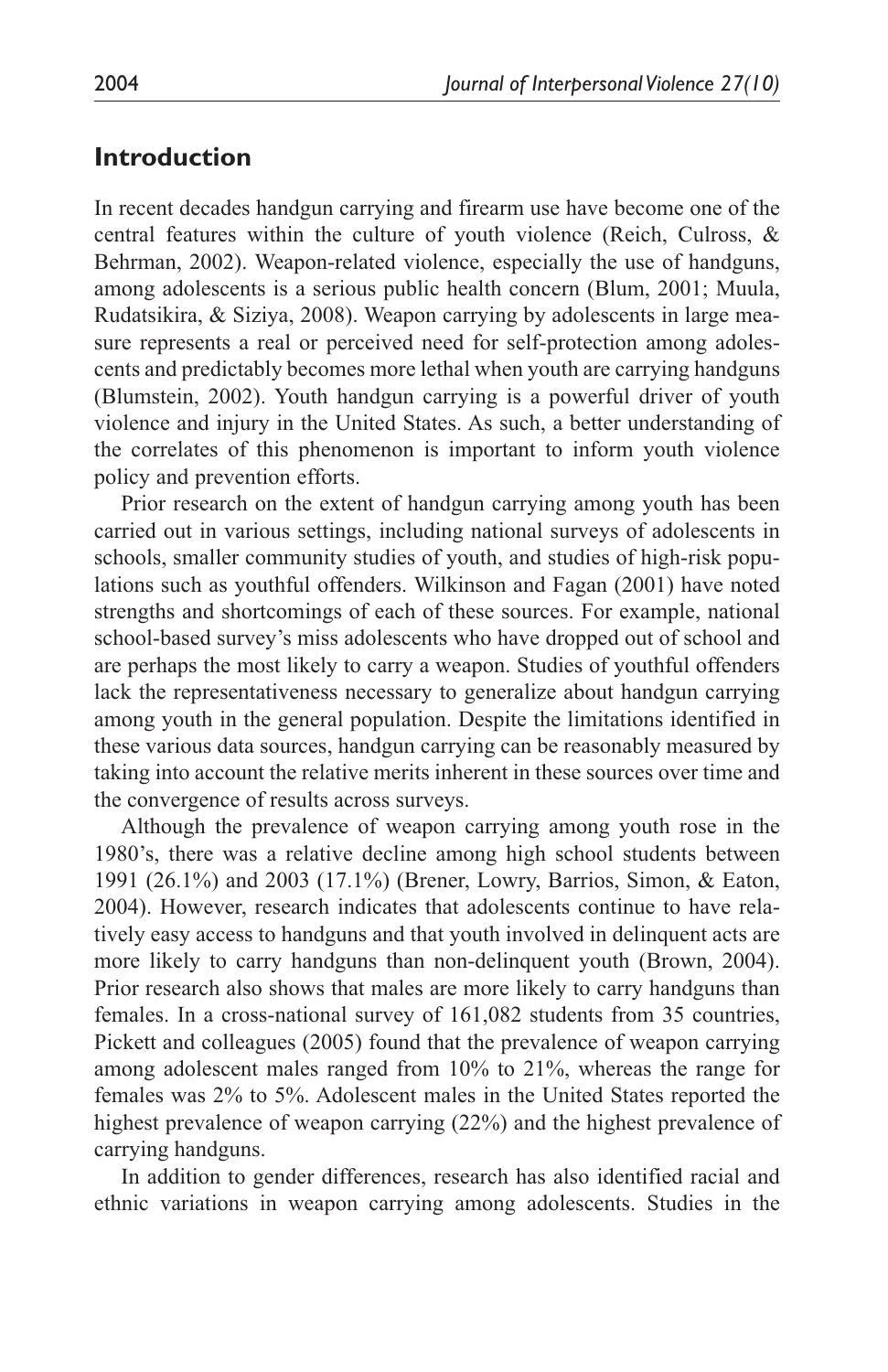#### **Introduction**

In recent decades handgun carrying and firearm use have become one of the central features within the culture of youth violence (Reich, Culross, & Behrman, 2002). Weapon-related violence, especially the use of handguns, among adolescents is a serious public health concern (Blum, 2001; Muula, Rudatsikira, & Siziya, 2008). Weapon carrying by adolescents in large measure represents a real or perceived need for self-protection among adolescents and predictably becomes more lethal when youth are carrying handguns (Blumstein, 2002). Youth handgun carrying is a powerful driver of youth violence and injury in the United States. As such, a better understanding of the correlates of this phenomenon is important to inform youth violence policy and prevention efforts.

Prior research on the extent of handgun carrying among youth has been carried out in various settings, including national surveys of adolescents in schools, smaller community studies of youth, and studies of high-risk populations such as youthful offenders. Wilkinson and Fagan (2001) have noted strengths and shortcomings of each of these sources. For example, national school-based survey's miss adolescents who have dropped out of school and are perhaps the most likely to carry a weapon. Studies of youthful offenders lack the representativeness necessary to generalize about handgun carrying among youth in the general population. Despite the limitations identified in these various data sources, handgun carrying can be reasonably measured by taking into account the relative merits inherent in these sources over time and the convergence of results across surveys.

Although the prevalence of weapon carrying among youth rose in the 1980's, there was a relative decline among high school students between 1991 (26.1%) and 2003 (17.1%) (Brener, Lowry, Barrios, Simon, & Eaton, 2004). However, research indicates that adolescents continue to have relatively easy access to handguns and that youth involved in delinquent acts are more likely to carry handguns than non-delinquent youth (Brown, 2004). Prior research also shows that males are more likely to carry handguns than females. In a cross-national survey of 161,082 students from 35 countries, Pickett and colleagues (2005) found that the prevalence of weapon carrying among adolescent males ranged from 10% to 21%, whereas the range for females was 2% to 5%. Adolescent males in the United States reported the highest prevalence of weapon carrying (22%) and the highest prevalence of carrying handguns.

In addition to gender differences, research has also identified racial and ethnic variations in weapon carrying among adolescents. Studies in the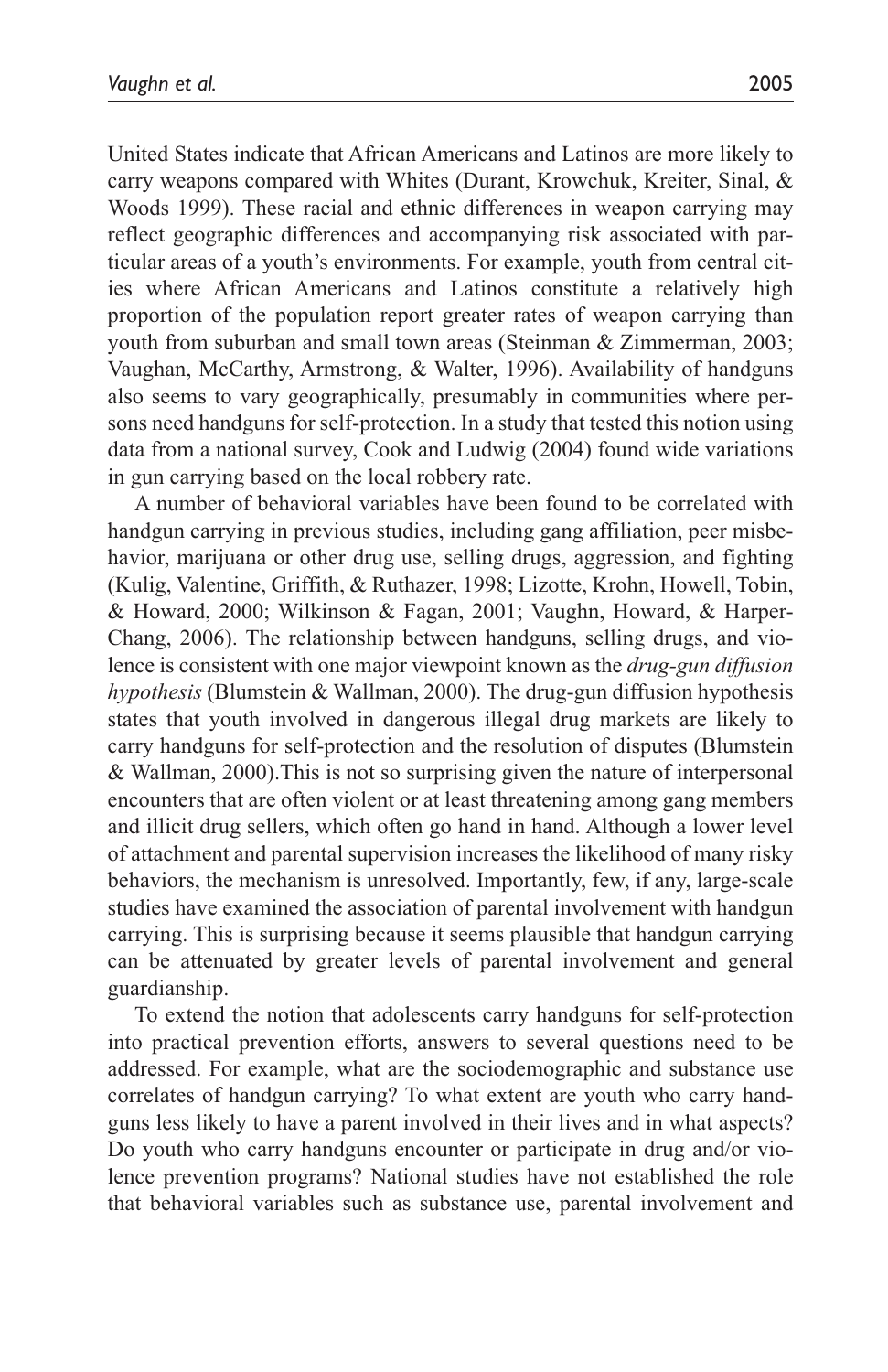United States indicate that African Americans and Latinos are more likely to carry weapons compared with Whites (Durant, Krowchuk, Kreiter, Sinal, & Woods 1999). These racial and ethnic differences in weapon carrying may reflect geographic differences and accompanying risk associated with particular areas of a youth's environments. For example, youth from central cities where African Americans and Latinos constitute a relatively high proportion of the population report greater rates of weapon carrying than youth from suburban and small town areas (Steinman & Zimmerman, 2003; Vaughan, McCarthy, Armstrong, & Walter, 1996). Availability of handguns also seems to vary geographically, presumably in communities where persons need handguns for self-protection. In a study that tested this notion using data from a national survey, Cook and Ludwig (2004) found wide variations in gun carrying based on the local robbery rate.

A number of behavioral variables have been found to be correlated with handgun carrying in previous studies, including gang affiliation, peer misbehavior, marijuana or other drug use, selling drugs, aggression, and fighting (Kulig, Valentine, Griffith, & Ruthazer, 1998; Lizotte, Krohn, Howell, Tobin, & Howard, 2000; Wilkinson & Fagan, 2001; Vaughn, Howard, & Harper-Chang, 2006). The relationship between handguns, selling drugs, and violence is consistent with one major viewpoint known as the *drug-gun diffusion hypothesis* (Blumstein & Wallman, 2000). The drug-gun diffusion hypothesis states that youth involved in dangerous illegal drug markets are likely to carry handguns for self-protection and the resolution of disputes (Blumstein & Wallman, 2000).This is not so surprising given the nature of interpersonal encounters that are often violent or at least threatening among gang members and illicit drug sellers, which often go hand in hand. Although a lower level of attachment and parental supervision increases the likelihood of many risky behaviors, the mechanism is unresolved. Importantly, few, if any, large-scale studies have examined the association of parental involvement with handgun carrying. This is surprising because it seems plausible that handgun carrying can be attenuated by greater levels of parental involvement and general guardianship.

To extend the notion that adolescents carry handguns for self-protection into practical prevention efforts, answers to several questions need to be addressed. For example, what are the sociodemographic and substance use correlates of handgun carrying? To what extent are youth who carry handguns less likely to have a parent involved in their lives and in what aspects? Do youth who carry handguns encounter or participate in drug and/or violence prevention programs? National studies have not established the role that behavioral variables such as substance use, parental involvement and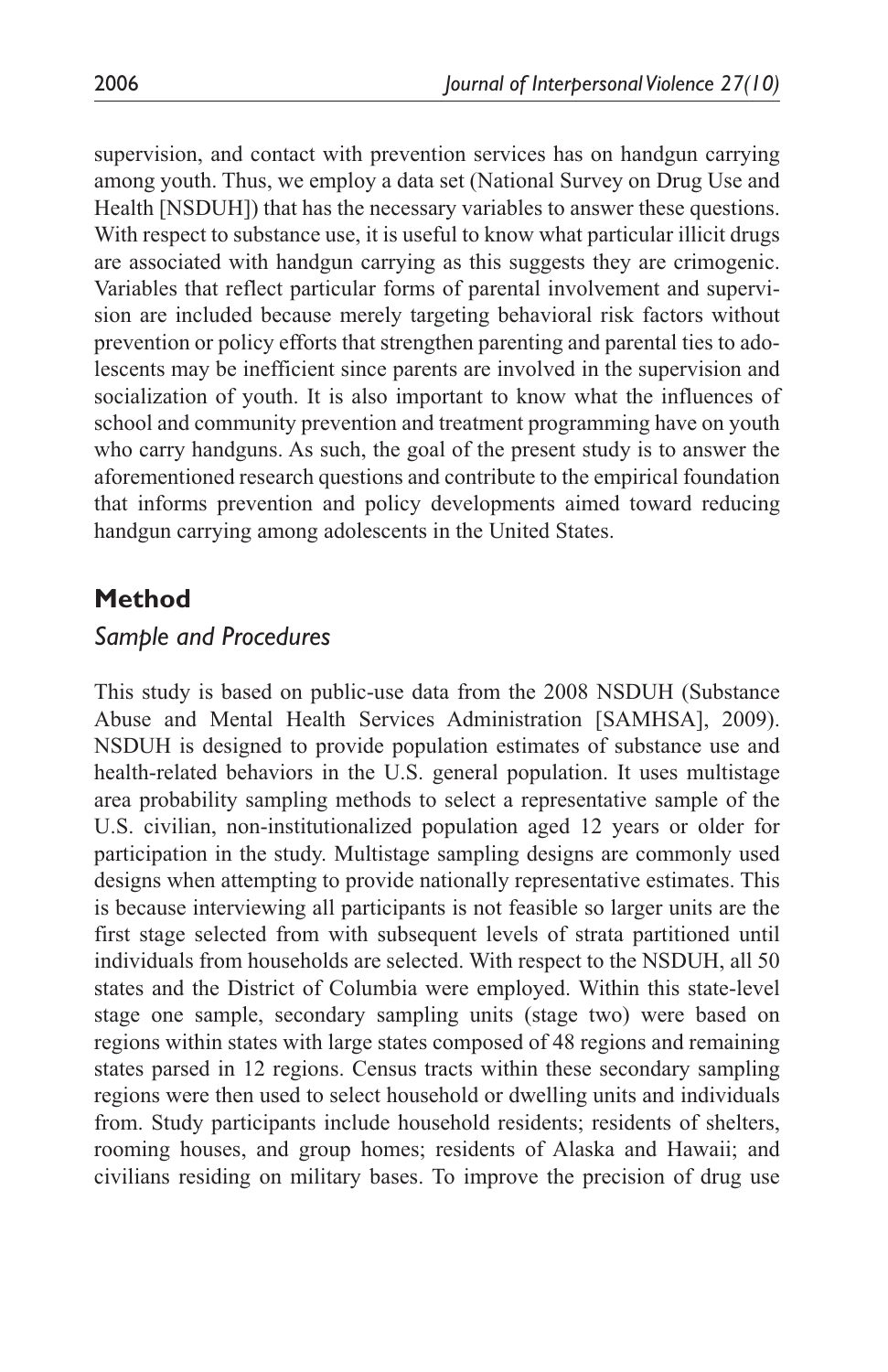supervision, and contact with prevention services has on handgun carrying among youth. Thus, we employ a data set (National Survey on Drug Use and Health [NSDUH]) that has the necessary variables to answer these questions. With respect to substance use, it is useful to know what particular illicit drugs are associated with handgun carrying as this suggests they are crimogenic. Variables that reflect particular forms of parental involvement and supervision are included because merely targeting behavioral risk factors without prevention or policy efforts that strengthen parenting and parental ties to adolescents may be inefficient since parents are involved in the supervision and socialization of youth. It is also important to know what the influences of school and community prevention and treatment programming have on youth who carry handguns. As such, the goal of the present study is to answer the aforementioned research questions and contribute to the empirical foundation that informs prevention and policy developments aimed toward reducing handgun carrying among adolescents in the United States.

### **Method**

### *Sample and Procedures*

This study is based on public-use data from the 2008 NSDUH (Substance Abuse and Mental Health Services Administration [SAMHSA], 2009). NSDUH is designed to provide population estimates of substance use and health-related behaviors in the U.S. general population. It uses multistage area probability sampling methods to select a representative sample of the U.S. civilian, non-institutionalized population aged 12 years or older for participation in the study. Multistage sampling designs are commonly used designs when attempting to provide nationally representative estimates. This is because interviewing all participants is not feasible so larger units are the first stage selected from with subsequent levels of strata partitioned until individuals from households are selected. With respect to the NSDUH, all 50 states and the District of Columbia were employed. Within this state-level stage one sample, secondary sampling units (stage two) were based on regions within states with large states composed of 48 regions and remaining states parsed in 12 regions. Census tracts within these secondary sampling regions were then used to select household or dwelling units and individuals from. Study participants include household residents; residents of shelters, rooming houses, and group homes; residents of Alaska and Hawaii; and civilians residing on military bases. To improve the precision of drug use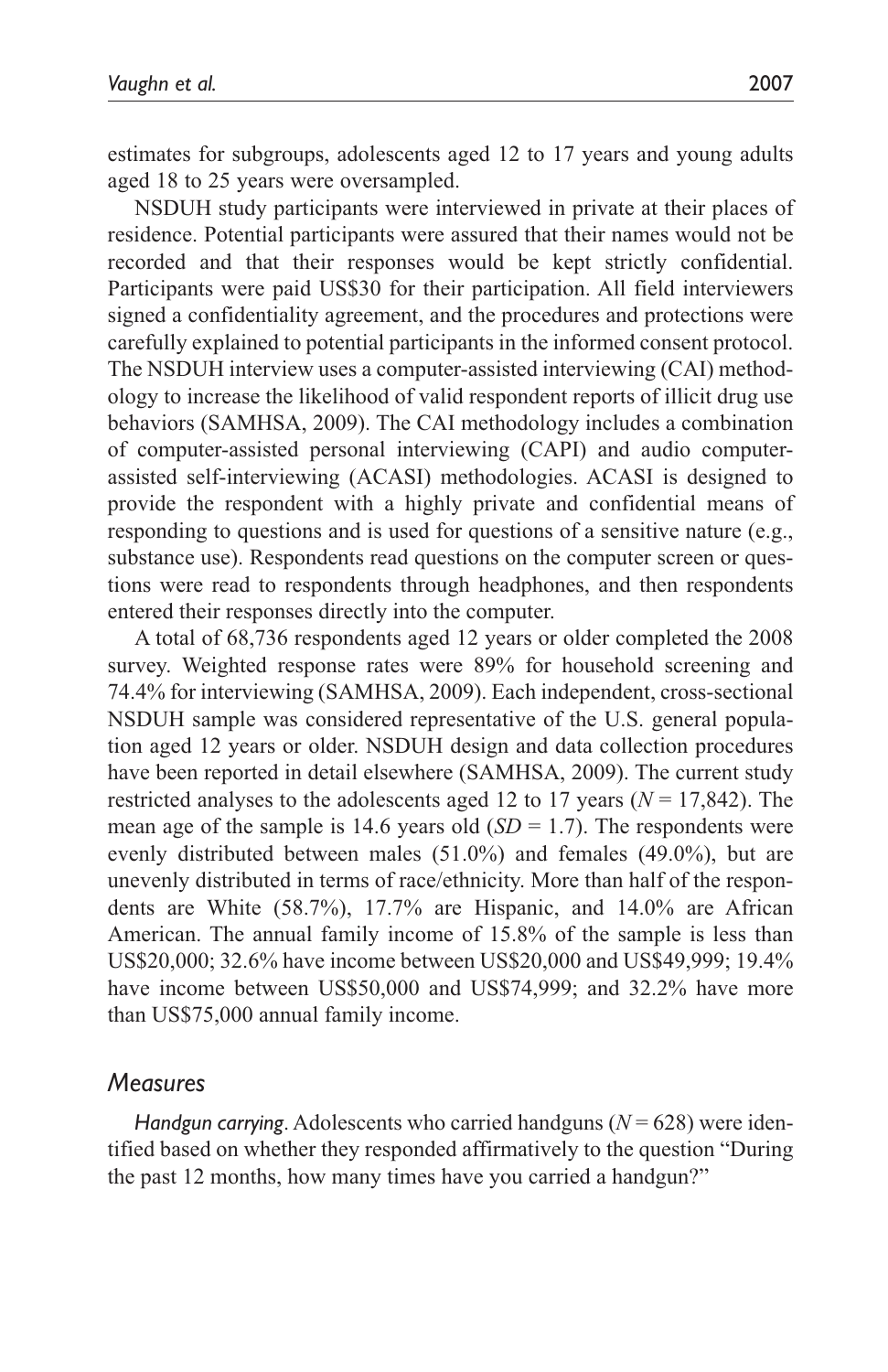estimates for subgroups, adolescents aged 12 to 17 years and young adults aged 18 to 25 years were oversampled.

NSDUH study participants were interviewed in private at their places of residence. Potential participants were assured that their names would not be recorded and that their responses would be kept strictly confidential. Participants were paid US\$30 for their participation. All field interviewers signed a confidentiality agreement, and the procedures and protections were carefully explained to potential participants in the informed consent protocol. The NSDUH interview uses a computer-assisted interviewing (CAI) methodology to increase the likelihood of valid respondent reports of illicit drug use behaviors (SAMHSA, 2009). The CAI methodology includes a combination of computer-assisted personal interviewing (CAPI) and audio computerassisted self-interviewing (ACASI) methodologies. ACASI is designed to provide the respondent with a highly private and confidential means of responding to questions and is used for questions of a sensitive nature (e.g., substance use). Respondents read questions on the computer screen or questions were read to respondents through headphones, and then respondents entered their responses directly into the computer.

A total of 68,736 respondents aged 12 years or older completed the 2008 survey. Weighted response rates were 89% for household screening and 74.4% for interviewing (SAMHSA, 2009). Each independent, cross-sectional NSDUH sample was considered representative of the U.S. general population aged 12 years or older. NSDUH design and data collection procedures have been reported in detail elsewhere (SAMHSA, 2009). The current study restricted analyses to the adolescents aged 12 to 17 years  $(N = 17,842)$ . The mean age of the sample is 14.6 years old  $(SD = 1.7)$ . The respondents were evenly distributed between males (51.0%) and females (49.0%), but are unevenly distributed in terms of race/ethnicity. More than half of the respondents are White (58.7%), 17.7% are Hispanic, and 14.0% are African American. The annual family income of 15.8% of the sample is less than US\$20,000; 32.6% have income between US\$20,000 and US\$49,999; 19.4% have income between US\$50,000 and US\$74,999; and 32.2% have more than US\$75,000 annual family income.

#### *Measures*

*Handgun carrying*. Adolescents who carried handguns (*N* = 628) were identified based on whether they responded affirmatively to the question "During the past 12 months, how many times have you carried a handgun?"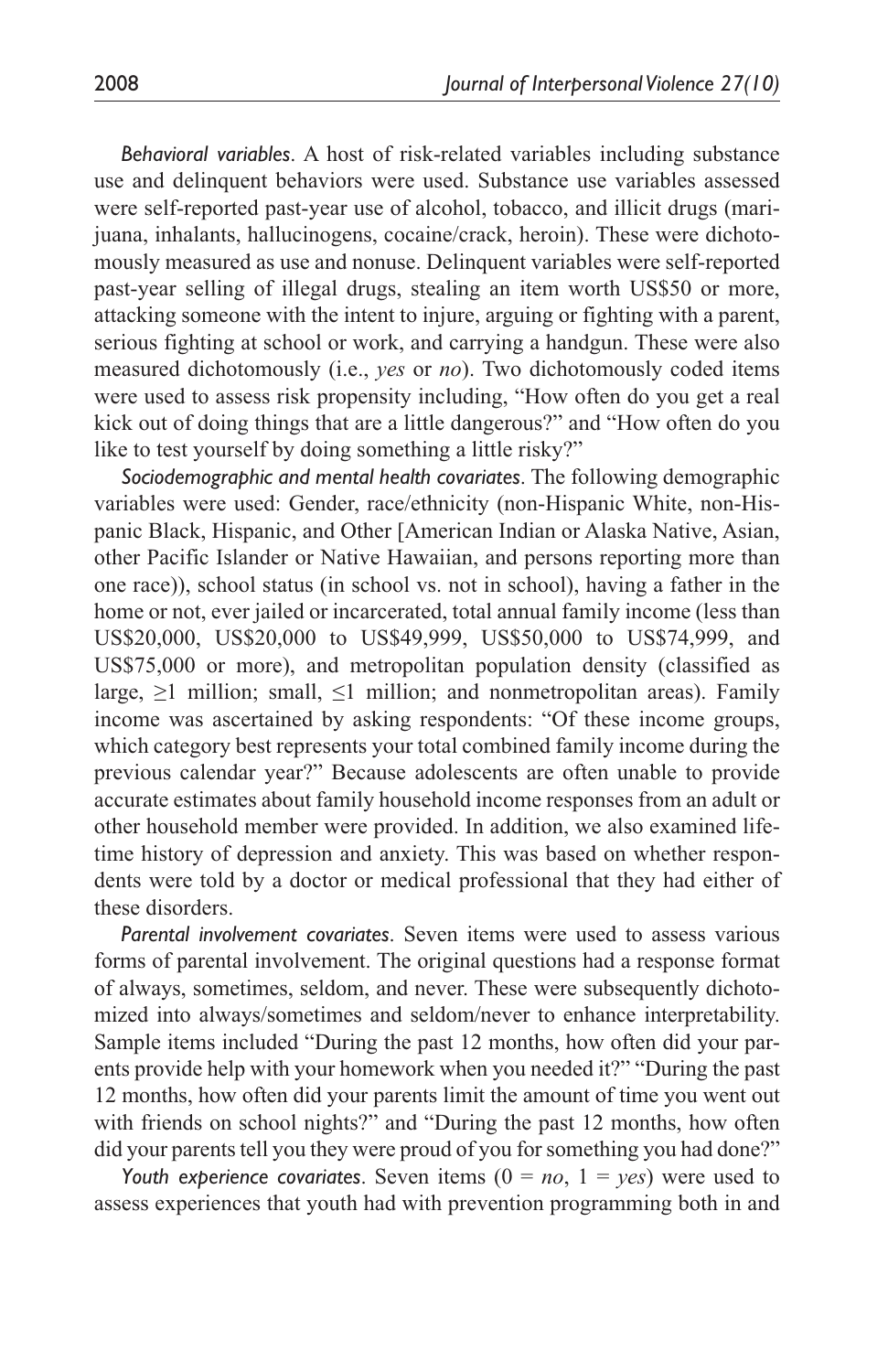*Behavioral variables*. A host of risk-related variables including substance use and delinquent behaviors were used. Substance use variables assessed were self-reported past-year use of alcohol, tobacco, and illicit drugs (marijuana, inhalants, hallucinogens, cocaine/crack, heroin). These were dichotomously measured as use and nonuse. Delinquent variables were self-reported past-year selling of illegal drugs, stealing an item worth US\$50 or more, attacking someone with the intent to injure, arguing or fighting with a parent, serious fighting at school or work, and carrying a handgun. These were also measured dichotomously (i.e., *yes* or *no*). Two dichotomously coded items were used to assess risk propensity including, "How often do you get a real kick out of doing things that are a little dangerous?" and "How often do you like to test yourself by doing something a little risky?"

*Sociodemographic and mental health covariates*. The following demographic variables were used: Gender, race/ethnicity (non-Hispanic White, non-Hispanic Black, Hispanic, and Other [American Indian or Alaska Native, Asian, other Pacific Islander or Native Hawaiian, and persons reporting more than one race)), school status (in school vs. not in school), having a father in the home or not, ever jailed or incarcerated, total annual family income (less than US\$20,000, US\$20,000 to US\$49,999, US\$50,000 to US\$74,999, and US\$75,000 or more), and metropolitan population density (classified as large,  $\geq 1$  million; small,  $\leq 1$  million; and nonmetropolitan areas). Family income was ascertained by asking respondents: "Of these income groups, which category best represents your total combined family income during the previous calendar year?" Because adolescents are often unable to provide accurate estimates about family household income responses from an adult or other household member were provided. In addition, we also examined lifetime history of depression and anxiety. This was based on whether respondents were told by a doctor or medical professional that they had either of these disorders.

*Parental involvement covariates*. Seven items were used to assess various forms of parental involvement. The original questions had a response format of always, sometimes, seldom, and never. These were subsequently dichotomized into always/sometimes and seldom/never to enhance interpretability. Sample items included "During the past 12 months, how often did your parents provide help with your homework when you needed it?" "During the past 12 months, how often did your parents limit the amount of time you went out with friends on school nights?" and "During the past 12 months, how often did your parents tell you they were proud of you for something you had done?"

*Youth experience covariates.* Seven items  $(0 = no, 1 = yes)$  were used to assess experiences that youth had with prevention programming both in and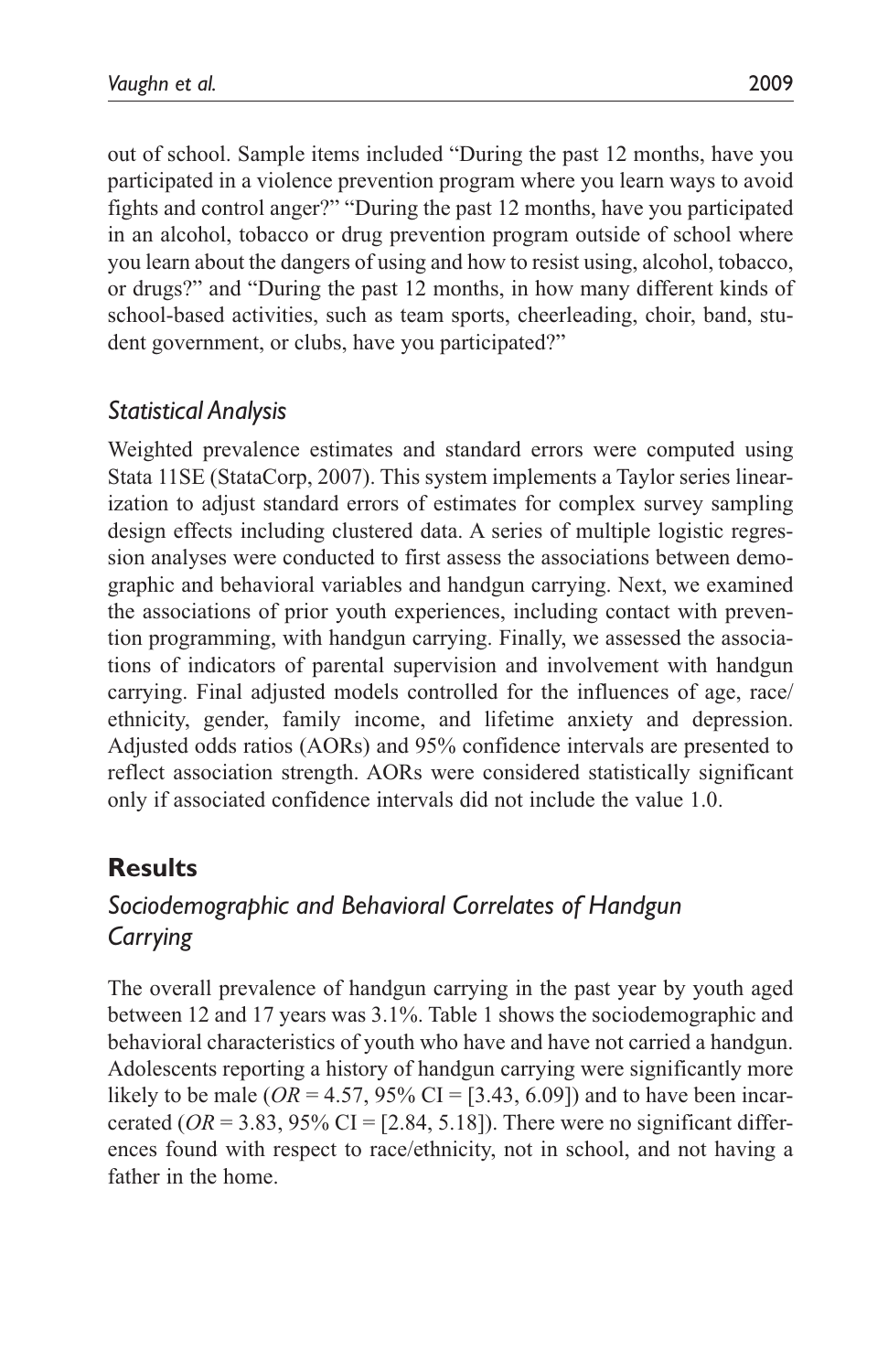out of school. Sample items included "During the past 12 months, have you participated in a violence prevention program where you learn ways to avoid fights and control anger?" "During the past 12 months, have you participated in an alcohol, tobacco or drug prevention program outside of school where you learn about the dangers of using and how to resist using, alcohol, tobacco, or drugs?" and "During the past 12 months, in how many different kinds of school-based activities, such as team sports, cheerleading, choir, band, student government, or clubs, have you participated?"

## *Statistical Analysis*

Weighted prevalence estimates and standard errors were computed using Stata 11SE (StataCorp, 2007). This system implements a Taylor series linearization to adjust standard errors of estimates for complex survey sampling design effects including clustered data. A series of multiple logistic regression analyses were conducted to first assess the associations between demographic and behavioral variables and handgun carrying. Next, we examined the associations of prior youth experiences, including contact with prevention programming, with handgun carrying. Finally, we assessed the associations of indicators of parental supervision and involvement with handgun carrying. Final adjusted models controlled for the influences of age, race/ ethnicity, gender, family income, and lifetime anxiety and depression. Adjusted odds ratios (AORs) and 95% confidence intervals are presented to reflect association strength. AORs were considered statistically significant only if associated confidence intervals did not include the value 1.0.

## **Results**

# *Sociodemographic and Behavioral Correlates of Handgun Carrying*

The overall prevalence of handgun carrying in the past year by youth aged between 12 and 17 years was 3.1%. Table 1 shows the sociodemographic and behavioral characteristics of youth who have and have not carried a handgun. Adolescents reporting a history of handgun carrying were significantly more likely to be male ( $OR = 4.57$ , 95% CI = [3.43, 6.09]) and to have been incarcerated ( $OR = 3.83$ ,  $95\%$  CI = [2.84, 5.18]). There were no significant differences found with respect to race/ethnicity, not in school, and not having a father in the home.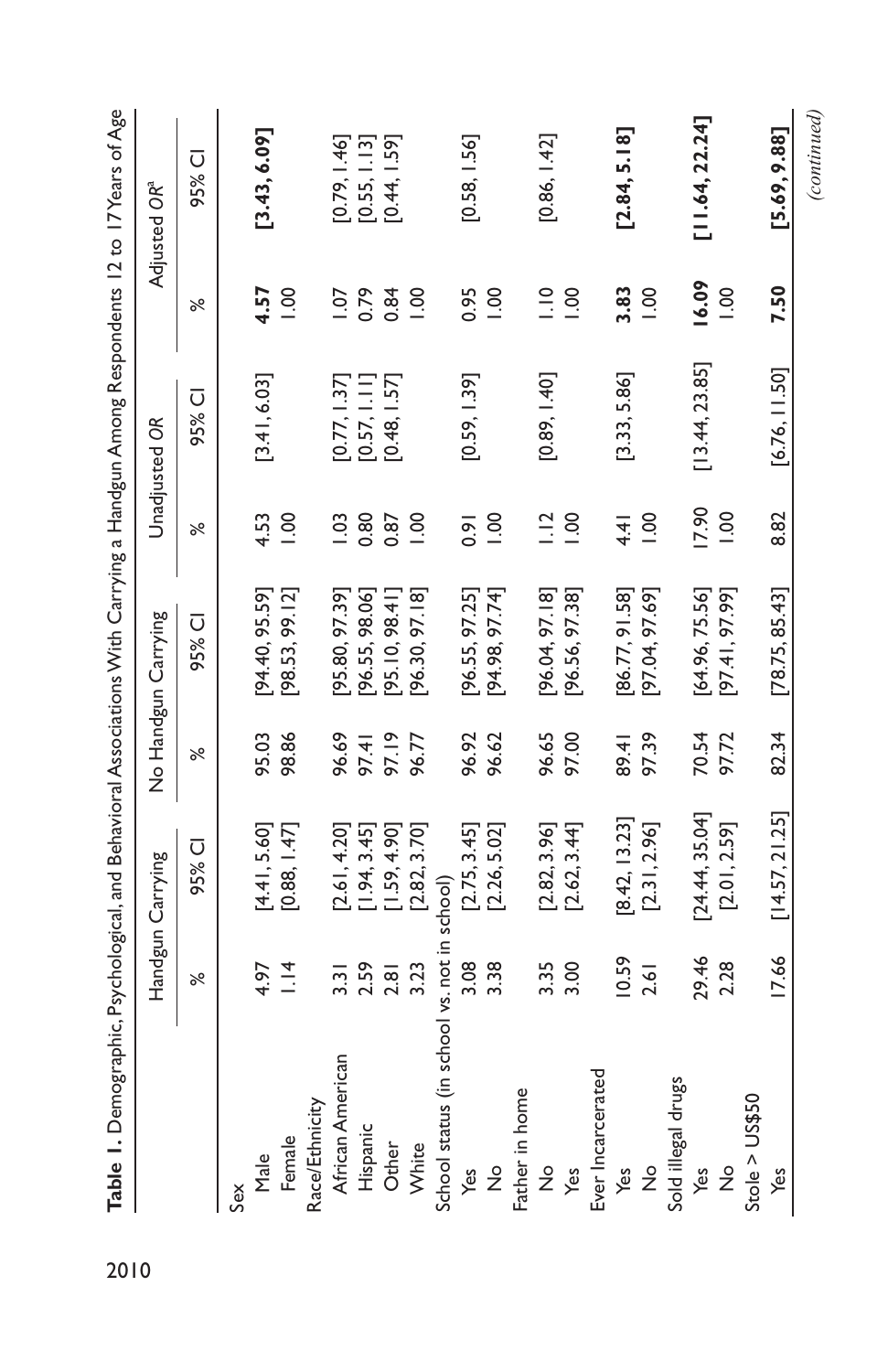|                                             |               | Handgun Carrying |       | No Handgun Carrying |                 | Unadjusted OR  |                 | Adjusted OR <sup>a</sup> |
|---------------------------------------------|---------------|------------------|-------|---------------------|-----------------|----------------|-----------------|--------------------------|
|                                             | ৯ৎ            | 95% CI           | ৯ৎ    | 95% CI              | ৯ৎ              | 95% CI         | ৯ৎ              | 95% CI                   |
| Sex                                         |               |                  |       |                     |                 |                |                 |                          |
| Male                                        | 4.97          | [4.41, 5.60]     | 95.03 | [94.40, 95.59]      | 4.53            | [3.41, 6.03]   | 4.57            | [3.43, 6.09]             |
| Female                                      | $\frac{4}{1}$ | [0.88, 1.47]     | 98.86 | [98.53, 99.12]      | $00 -$          |                | 00.1            |                          |
| Race/Ethnicity                              |               |                  |       |                     |                 |                |                 |                          |
| African American                            | 3.31          | [2.61, 4.20]     | 96.69 | [95.80, 97.39]      | CO.             | [0.77, 1.37]   | $-0.1$          | [0.79, 1.46]             |
| Hispanic                                    | 2.59          | 1.94, 3.45       | 97.41 | [96.55, 98.06]      | 0.80            | [0.57, 1.11]   | 0.79            | [0.55, 1.13]             |
| Other                                       | 2.81          | 1.59, 4.90       | 97.19 | [95.10, 98.41]      | 0.87            | [0.48, 1.57]   | 0.84            | [0.44, 1.59]             |
| White                                       | 3.23          | [2.82, 3.70]     | 96.77 | [96.30, 97.18]      | $\frac{8}{100}$ |                | $\frac{8}{100}$ |                          |
| School status (in school vs. not in school) |               |                  |       |                     |                 |                |                 |                          |
| Yes                                         | 3.08          | [2.75, 3.45]     | 96.92 | [96.55, 97.25]      | 0.91            | [0.59, 1.39]   | 0.95            | [0.58, 1.56]             |
| $\frac{1}{2}$                               | 3.38          | [2.26, 5.02]     | 96.62 | [94.98, 97.74]      | 00.1            |                | $\frac{8}{100}$ |                          |
| Father in home                              |               |                  |       |                     |                 |                |                 |                          |
| ž                                           | 3.35          | $2.82, 3.96$ ]   | 96.65 | [96.04, 97.18]      | $\frac{12}{1}$  | [0.89, 1.40]   | $\frac{1}{2}$   | [0.86, 1.42]             |
| Yes                                         | 3.00          | [2.62, 3.44]     | 97.00 | [96.56, 97.38]      | $\frac{8}{1}$   |                | $\frac{8}{100}$ |                          |
| Ever Incarcerated                           |               |                  |       |                     |                 |                |                 |                          |
| Yes                                         | 10.59         | [8.42, 13.23]    | 89.41 | [86.77, 91.58]      | 4.41            | [3.33, 5.86]   | 3.83            | [2.84, 5.18]             |
| ž                                           | 2.61          | [2.31, 2.96]     | 97.39 | [97.04, 97.69]      | 00.1            |                | 00.1            |                          |
| Sold illegal drugs                          |               |                  |       |                     |                 |                |                 |                          |
| yes                                         | 29.46         | 24.44, 35.04]    | 70.54 | [64.96, 75.56]      | 17.90           | [13.44, 23.85] | 16.09           | [11.64, 22.24]           |
| ž                                           | 2.28          | [2.01, 2.59]     | 97.72 | [97.41, 97.99]      | 00.1            |                | 00.1            |                          |
| Stole > US\$50                              |               |                  |       |                     |                 |                |                 |                          |
| Yes                                         | 17.66         | [14.57, 21.25]   | 82.34 | [78.75, 85.43]      | 8.82            | [6.76, 11.50]  | 7.50            | [5.69, 9.88]             |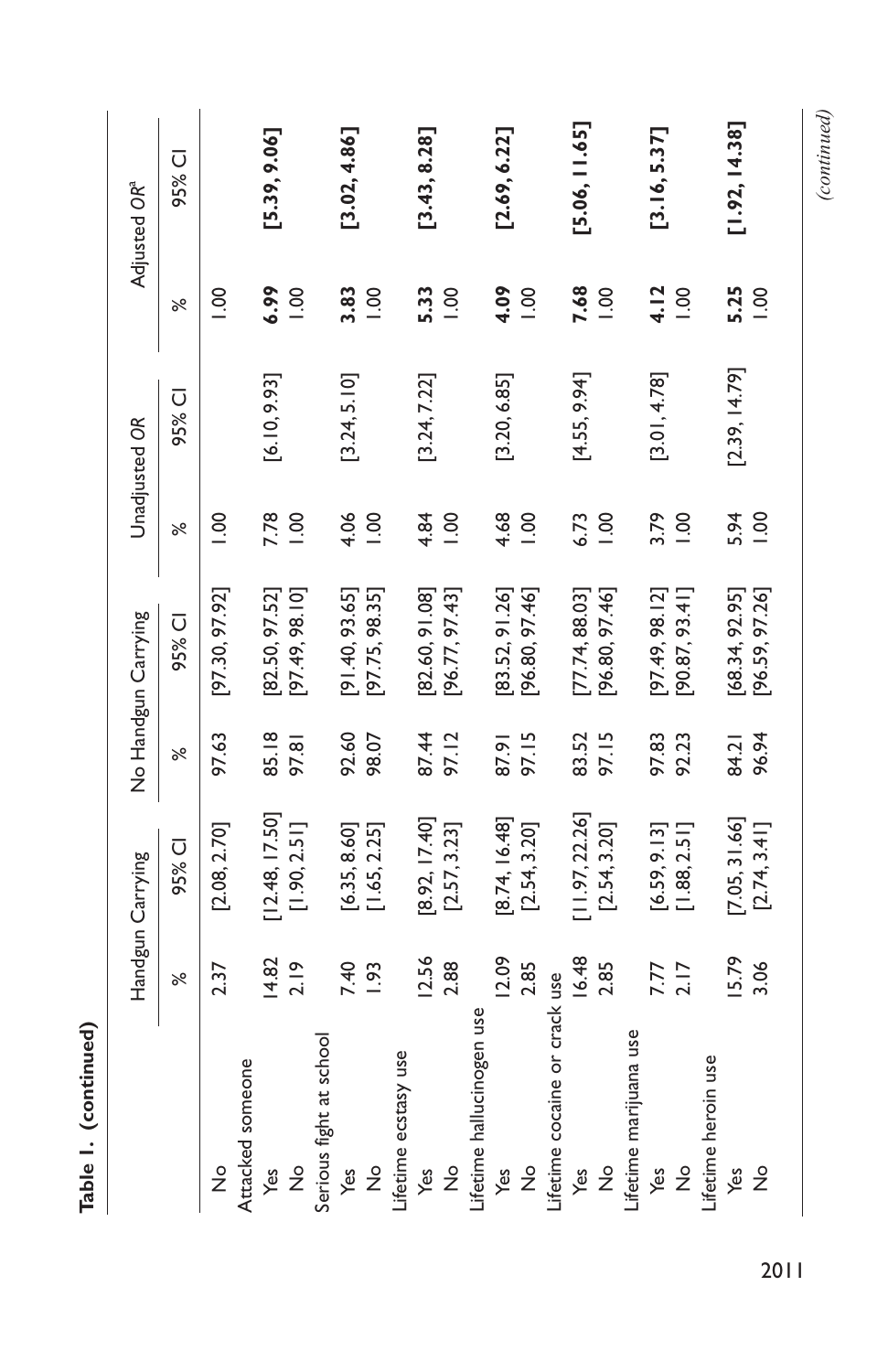| Table I. (continued)          |             |                  |           |                     |                |               |                |                          |
|-------------------------------|-------------|------------------|-----------|---------------------|----------------|---------------|----------------|--------------------------|
|                               |             | Handgun Carrying |           | No Handgun Carrying |                | Unadjusted OR |                | Adjusted OR <sup>a</sup> |
|                               | $\aleph$    | 95% CI           | $\approx$ | 95% CI              | $\aleph$       | 95% CI        | $\aleph$       | 95% CI                   |
| $\frac{1}{2}$                 | 2.37        | [2.08, 2.70]     | 97.63     | [97.30, 97.92]      | $\frac{8}{10}$ |               | $\frac{8}{10}$ |                          |
| Attacked someone              |             |                  |           |                     |                |               |                |                          |
| Yes                           | 14.82       | [12.48, 17.50]   | 85.18     | [82.50, 97.52]      | 7.78           | [6.10, 9.93]  | 6.99           | [5.39, 9.06]             |
| ż                             | 2.19        | [1.90, 2.51]     | 97.81     | [97.49, 98.10]      | 00.1           |               | 00.1           |                          |
| Serious fight at school       |             |                  |           |                     |                |               |                |                          |
| Yes                           | 7.40        | [6.35, 8.60]     | 92.60     | [91.40, 93.65]      | 4.06           | [3.24, 5.10]  | 3.83           | [3.02, 4.86]             |
| $\frac{1}{2}$                 | <b>1.93</b> | [1.65, 2.25]     | 98.07     | [97.75, 98.35]      | 00.1           |               | 00.1           |                          |
| Lifetime ecstasy use          |             |                  |           |                     |                |               |                |                          |
| Yes                           | 12.56       | 8.92, 17.40]     | 87.44     | 82.60, 91.08]       | 4.84           | [3.24, 7.22]  | 5.33           | [3.43, 8.28]             |
| ż                             | 2.88        | [2.57, 3.23]     | 97.12     | 96.77, 97.43]       | 00.1           |               | 00.1           |                          |
| Lifetime hallucinogen use     |             |                  |           |                     |                |               |                |                          |
| Yes                           | 12.09       | [8.74, 16.48]    | 87.91     | [83.52, 91.26]      | 4.68           | [3.20, 6.85]  | 4.09           | [2.69, 6.22]             |
| ż                             | 2.85        | [2.54, 3.20]     | 97.15     | 96.80, 97.46]       | 00.1           |               | 00.1           |                          |
| Lifetime cocaine or crack use |             |                  |           |                     |                |               |                |                          |
| Yes                           | 16.48       | [11.97, 22.26]   | 83.52     | [77.74, 88.03]      | 6.73           | [4.55, 9.94]  | 7.68           | [5.06, 11.65]            |
| $\frac{1}{2}$                 | 2.85        | [2.54, 3.20]     | 97.15     | 96.80, 97.46]       | 00.1           |               | 00.1           |                          |
| Lifetime marijuana use        |             |                  |           |                     |                |               |                |                          |
| Yes                           | 7.77        | [6.59, 9.13]     | 97.83     | [97.49, 98.12]      | 3.79           | [3.01, 4.78]  | 4.12           | [3.16, 5.37]             |
| ż                             | 2.17        | [1.88, 2.5]      | 92.23     | [90.87, 93.41]      | 00.1           |               | 00.1           |                          |
| Lifetime heroin use           |             |                  |           |                     |                |               |                |                          |
| yes                           | 5.79        | [7.05, 31.66]    | 84.21     | [68.34, 92.95]      | 5.94           | [2.39, 14.79] | 5.25           | [1.92, 14.38]            |
| $\frac{1}{2}$                 | 3.06        | [2.74, 3.41]     | 96.94     | [96.59, 97.26]      | $\frac{8}{10}$ |               | $\frac{8}{10}$ |                          |
|                               |             |                  |           |                     |                |               |                |                          |

*(continued)*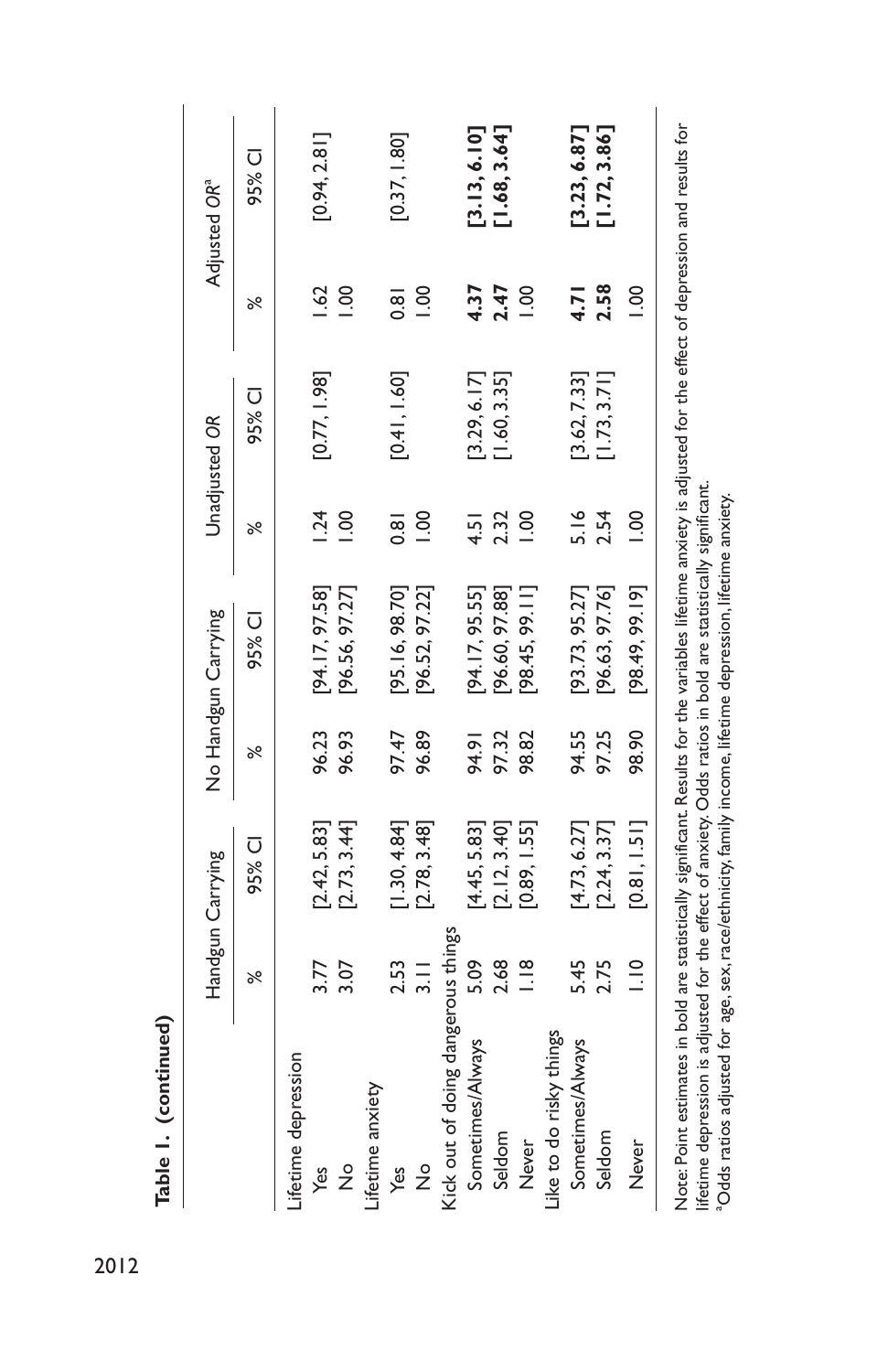|                                    |                 | Handgun Carrying |       | No Handgun Carrying |                 | Unadjusted OR |                          | Adjusted OR <sup>a</sup> |
|------------------------------------|-----------------|------------------|-------|---------------------|-----------------|---------------|--------------------------|--------------------------|
|                                    | ৽ৼ              | 95% CI           | ಸಿ    | 95% CI              | ৽ৼ              | 95% CI        | ৯ৎ                       | 95%                      |
| Lifetime depression                |                 |                  |       |                     |                 |               |                          |                          |
| yes                                | 3.77            | [2.42, 5.83]     | 96.23 | [94.17, 97.58]      | $\overline{24}$ | [0.77, 1.98]  | 1.62                     | [0.94, 2.8]              |
| $\frac{1}{2}$                      | 3.07            | [2.73, 3.44]     | 96.93 | [96.56, 97.27]      | S               |               | $\frac{8}{1}$            |                          |
| Lifetime anxiety                   |                 |                  |       |                     |                 |               |                          |                          |
| Yes                                | 2.53            | [1.30, 4.84]     | 97.47 | [95.16, 98.70]      | $\overline{a}$  | [0.41, 1.60]  | $\overline{\frac{8}{3}}$ | [0.37, 1.80]             |
| $\frac{1}{2}$                      | $\frac{1}{3}$ . | [2.78, 3.48]     | 96.89 | [96.52, 97.22]      | 8<br>-          |               | oo<br>-                  |                          |
| Kick out of doing dangerous things |                 |                  |       |                     |                 |               |                          |                          |
| Sometimes/Always                   | 5.09            | [4.45, 5.83]     | 94.91 | [94.17, 95.55]      | $-1.5$          | [3.29, 6.17]  | 4.37                     | [3.13, 6.10]             |
| Seldom                             | 2.68            | [2.12, 3.40]     | 97.32 | 96.60, 97.88        | 2.32            | [1.60, 3.35]  | 2.47                     | [1.68, 3.64]             |
| Never                              | $\frac{8}{1}$   | [0.89, 1.55]     | 98.82 | [98.45, 99.11]      | <u>ខ</u>        |               | $\frac{8}{1}$            |                          |
| Like to do risky things            |                 |                  |       |                     |                 |               |                          |                          |
| Sometimes/Always                   | 5.45            | [4.73, 6.27]     | 94.55 | [93.73, 95.27]      | $\frac{6}{2}$   | [3.62, 7.33]  | $-1.71$                  | [3.23, 6.87]             |
| Seldom                             | 2.75            | [2.24, 3.37]     | 97.25 | [96.63, 97.76]      | 2.54            | [1.73, 3.71]  | 2.58                     | [1.72, 3.86]             |
| Never                              | $\frac{1}{2}$   | [0.81, 1.51]     | 98.90 | [98.49, 99.19]      | S               |               | 00.1                     |                          |

Note: Point estimates in bold are statistically significant. Results for the variables lifetime anxiety is adjusted for the effect of depression and results for lifetime depression is adjusted for the effect of anxiety. Odds ratios in bold are statistically significant.<br><sup>a</sup>Odds ratios adjusted for age, sex, race/ethnicity, family income, lifetime depression, lifetime anxiety. lifetime depression is adjusted for the effect of anxiety. Odds ratios in bold are statistically significant.

 $^{\rm aO}$ dds ratios adjusted for age, sex, race/ethnicity, family income, lifetime depression, lifetime anxiety.

**Table 1.**

**(continued)**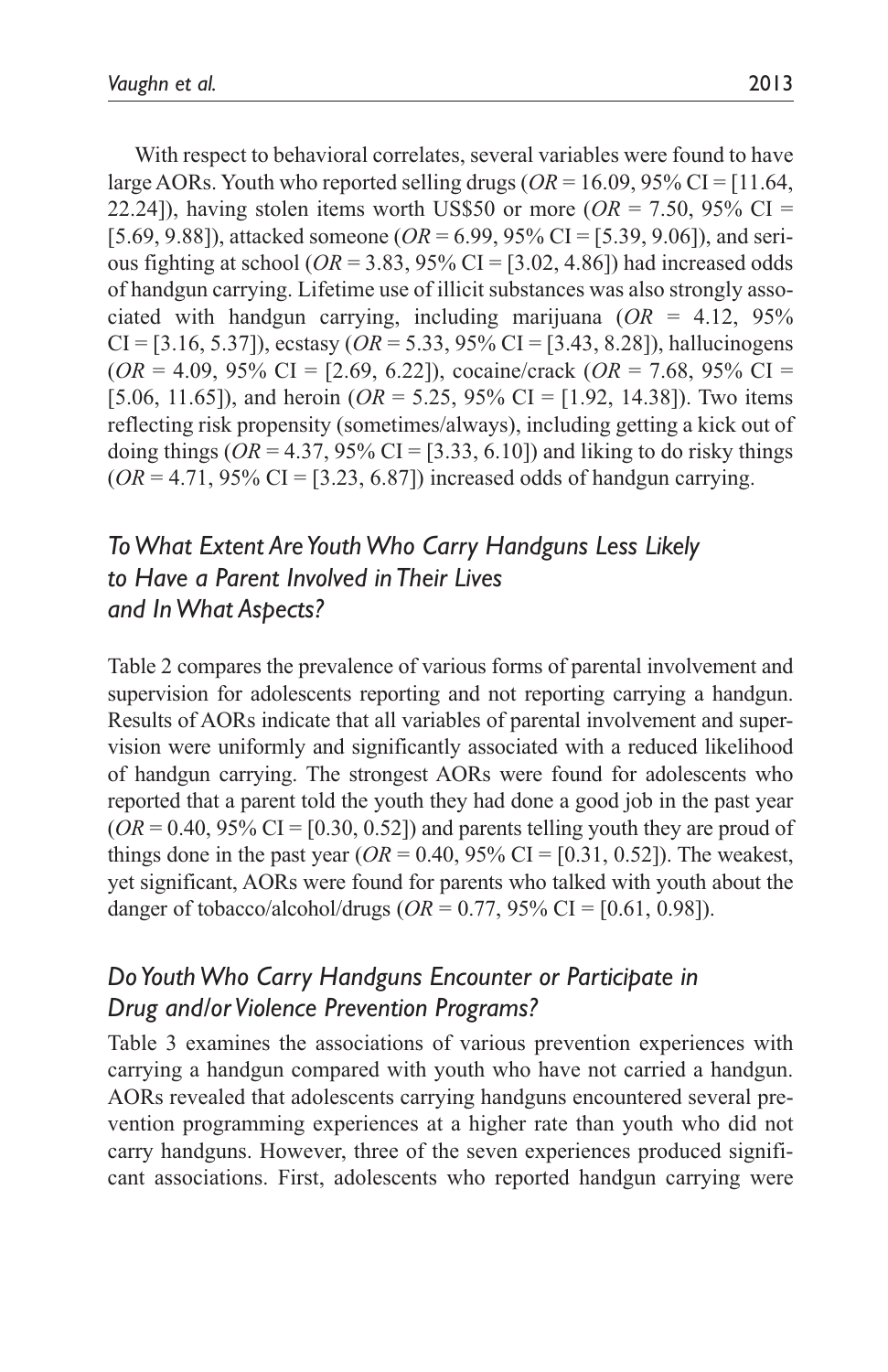With respect to behavioral correlates, several variables were found to have large AORs. Youth who reported selling drugs  $(OR = 16.09, 95\% \text{ CI} = [11.64,$ 22.24]), having stolen items worth US\$50 or more ( $OR = 7.50$ , 95% CI = [5.69, 9.88]), attacked someone ( $OR = 6.99$ , 95% CI = [5.39, 9.06]), and serious fighting at school ( $OR = 3.83$ , 95% CI = [3.02, 4.86]) had increased odds of handgun carrying. Lifetime use of illicit substances was also strongly associated with handgun carrying, including marijuana (*OR* = 4.12, 95%  $CI = [3.16, 5.37]$ , ecstasy (*OR* = 5.33, 95% CI = [3.43, 8.28]), hallucinogens (*OR* = 4.09, 95% CI = [2.69, 6.22]), cocaine/crack (*OR* = 7.68, 95% CI = [5.06, 11.65]), and heroin ( $OR = 5.25$ , 95% CI = [1.92, 14.38]). Two items reflecting risk propensity (sometimes/always), including getting a kick out of doing things ( $OR = 4.37$ ,  $95\%$  CI = [3.33, 6.10]) and liking to do risky things  $(OR = 4.71, 95\% \text{ CI} = [3.23, 6.87])$  increased odds of handgun carrying.

## *To What Extent Are Youth Who Carry Handguns Less Likely to Have a Parent Involved in Their Lives and In What Aspects?*

Table 2 compares the prevalence of various forms of parental involvement and supervision for adolescents reporting and not reporting carrying a handgun. Results of AORs indicate that all variables of parental involvement and supervision were uniformly and significantly associated with a reduced likelihood of handgun carrying. The strongest AORs were found for adolescents who reported that a parent told the youth they had done a good job in the past year  $(OR = 0.40, 95\% \text{ CI} = [0.30, 0.52])$  and parents telling youth they are proud of things done in the past year ( $OR = 0.40$ , 95% CI = [0.31, 0.52]). The weakest, yet significant, AORs were found for parents who talked with youth about the danger of tobacco/alcohol/drugs ( $OR = 0.77$ , 95% CI = [0.61, 0.98]).

# *Do Youth Who Carry Handguns Encounter or Participate in Drug and/or Violence Prevention Programs?*

Table 3 examines the associations of various prevention experiences with carrying a handgun compared with youth who have not carried a handgun. AORs revealed that adolescents carrying handguns encountered several prevention programming experiences at a higher rate than youth who did not carry handguns. However, three of the seven experiences produced significant associations. First, adolescents who reported handgun carrying were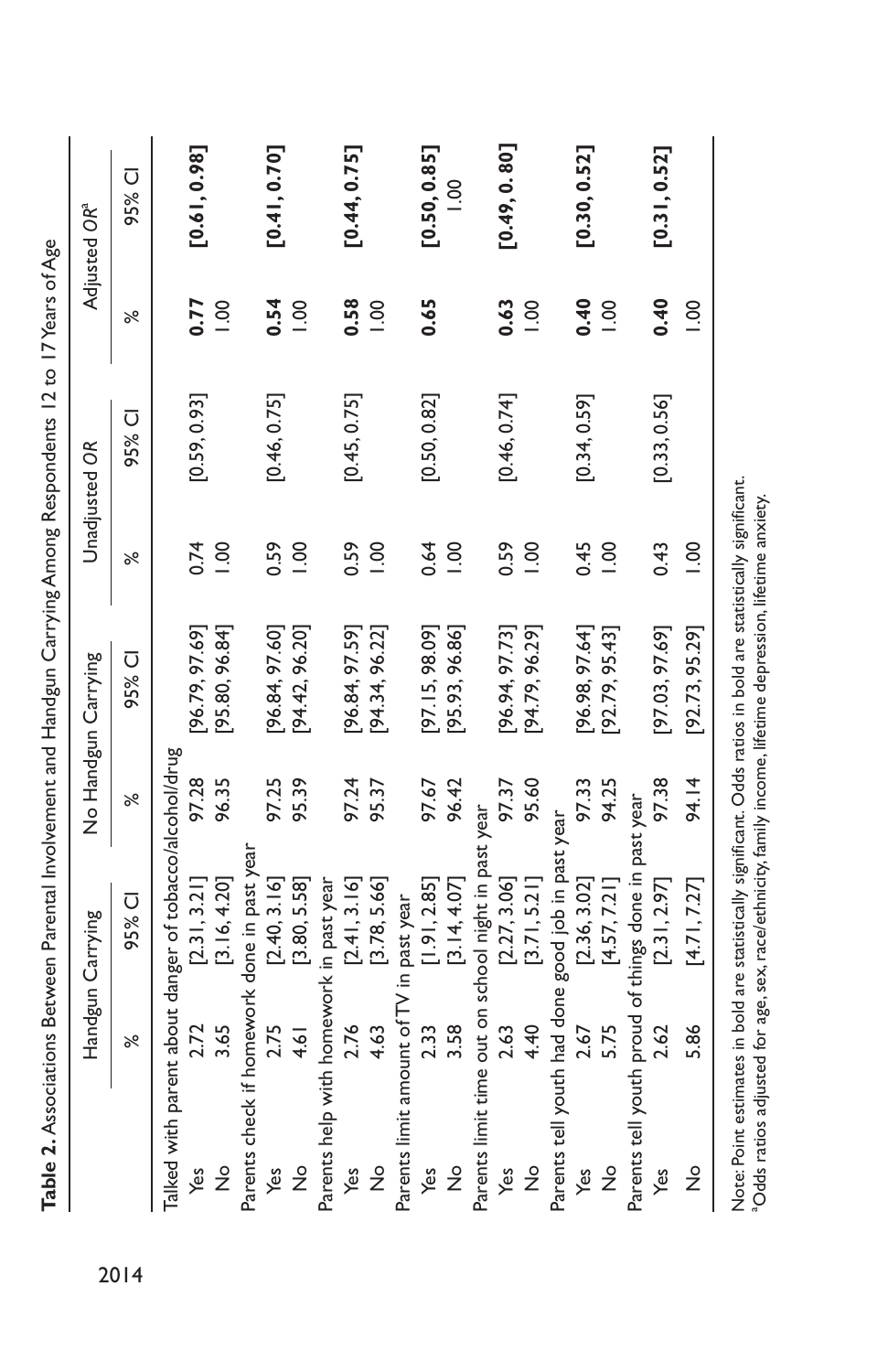|                                         |        | Handgun Carrying                                        |       | No Handgun Carrying                                                                                                                                                                                                           |                 | Unadjusted OR |                 | Adjusted OR <sup>a</sup> |
|-----------------------------------------|--------|---------------------------------------------------------|-------|-------------------------------------------------------------------------------------------------------------------------------------------------------------------------------------------------------------------------------|-----------------|---------------|-----------------|--------------------------|
|                                         | ৯ৎ     | 95% CI                                                  | ৯ৎ    | 95% CI                                                                                                                                                                                                                        | $\aleph$        | 95% CI        | ৡ               | 95% CI                   |
|                                         |        | Talked with parent about danger of tobacco/alcohol/drug |       |                                                                                                                                                                                                                               |                 |               |                 |                          |
| Yes                                     | 2.72   | [2.31, 3.21]                                            | 97.28 | [96.79, 97.69]                                                                                                                                                                                                                | 0.74            | [0.59, 0.93]  | 0.77            | [0.61, 0.98]             |
| $\frac{1}{2}$                           | 3.65   | [3.16, 4.20]                                            | 96.35 | [95.80, 96.84]                                                                                                                                                                                                                | $\frac{8}{100}$ |               | $\frac{8}{1}$   |                          |
|                                         |        | Parents check if homework done in past year             |       |                                                                                                                                                                                                                               |                 |               |                 |                          |
| Yes                                     | 2.75   | [2.40, 3.16]                                            | 97.25 | [96.84, 97.60]                                                                                                                                                                                                                | 0.59            | [0.46, 0.75]  | 0.54            | [0.41, 0.70]             |
| ž                                       | $-4.6$ | [3.80, 5.58]                                            | 95.39 | [94.42, 96.20]                                                                                                                                                                                                                | $\frac{8}{1}$   |               | $\frac{8}{100}$ |                          |
| Parents help with homework in past year |        |                                                         |       |                                                                                                                                                                                                                               |                 |               |                 |                          |
| yes                                     | 2.76   | [2.41, 3.16]                                            | 97.24 | [96.84, 97.59]                                                                                                                                                                                                                | 0.59            | [0.45, 0.75]  | 0.58            | [0.44, 0.75]             |
| ž                                       | 4.63   | [3.78, 5.66]                                            | 95.37 | [94.34, 96.22]                                                                                                                                                                                                                | $\frac{8}{1}$   |               | $\frac{8}{10}$  |                          |
| Parents limit amount of TV in past year |        |                                                         |       |                                                                                                                                                                                                                               |                 |               |                 |                          |
| yes                                     | 2.33   | [1.91, 2.85]                                            | 97.67 | [97.15, 98.09]                                                                                                                                                                                                                | 0.64            | [0.50, 0.82]  | 0.65            | [0.50, 0.85]             |
| ž                                       | 3.58   | [3.14, 4.07]                                            | 96.42 | [95.93, 96.86]                                                                                                                                                                                                                | $\frac{8}{1}$   |               |                 | 8<br>Iol                 |
|                                         |        | Parents limit time out on school night in past year     |       |                                                                                                                                                                                                                               |                 |               |                 |                          |
| Š                                       | 2.63   | [2.27, 3.06]                                            | 97.37 | [96.94, 97.73]                                                                                                                                                                                                                | 0.59            | [0.46, 0.74]  | 0.63            | [0.49, 0.80]             |
| ż                                       | 4.40   | [3.71, 5.21]                                            | 95.60 | [94.79, 96.29]                                                                                                                                                                                                                | 00.1            |               | 00.1            |                          |
|                                         |        | Parents tell youth had done good job in past year       |       |                                                                                                                                                                                                                               |                 |               |                 |                          |
| Š                                       | 2.67   | [2.36, 3.02]                                            | 97.33 | 96.98, 97.64]                                                                                                                                                                                                                 | 0.45            | [0.34, 0.59]  | 0.40            | [0.30, 0.52]             |
| $\frac{1}{2}$                           | 5.75   | [4.57, 7.21]                                            | 94.25 | [92.79, 95.43]                                                                                                                                                                                                                | $\frac{8}{100}$ |               | 00.1            |                          |
|                                         |        | Parents tell youth proud of things done in past year    |       |                                                                                                                                                                                                                               |                 |               |                 |                          |
| Yes                                     | 2.62   | [2.31, 2.97]                                            | 97.38 | [97.03, 97.69]                                                                                                                                                                                                                | 0.43            | [0.33, 0.56]  | 0.40            | [0.31, 0.52]             |
| $\frac{1}{2}$                           | 5.86   | [4.71, 7.27]                                            | 94.14 | [92.73, 95.29]                                                                                                                                                                                                                | $\frac{8}{1}$   |               | $\frac{8}{1}$   |                          |
|                                         |        |                                                         |       | Note: Point estimates in bold are statistically significant. Odds ratios in bold are statistically significant.<br>a Odds ratios adjusted for age, sex, race/ethnicity, family income, lifetime depression, lifetime anxiety? |                 |               |                 |                          |

Table 2. Associations Between Parental Involvement and Handgun Carrying Among Respondents 12 to 17 Years of Age **Table 2.** Associations Between Parental Involvement and Handgun Carrying Among Respondents 12 to 17 Years of Age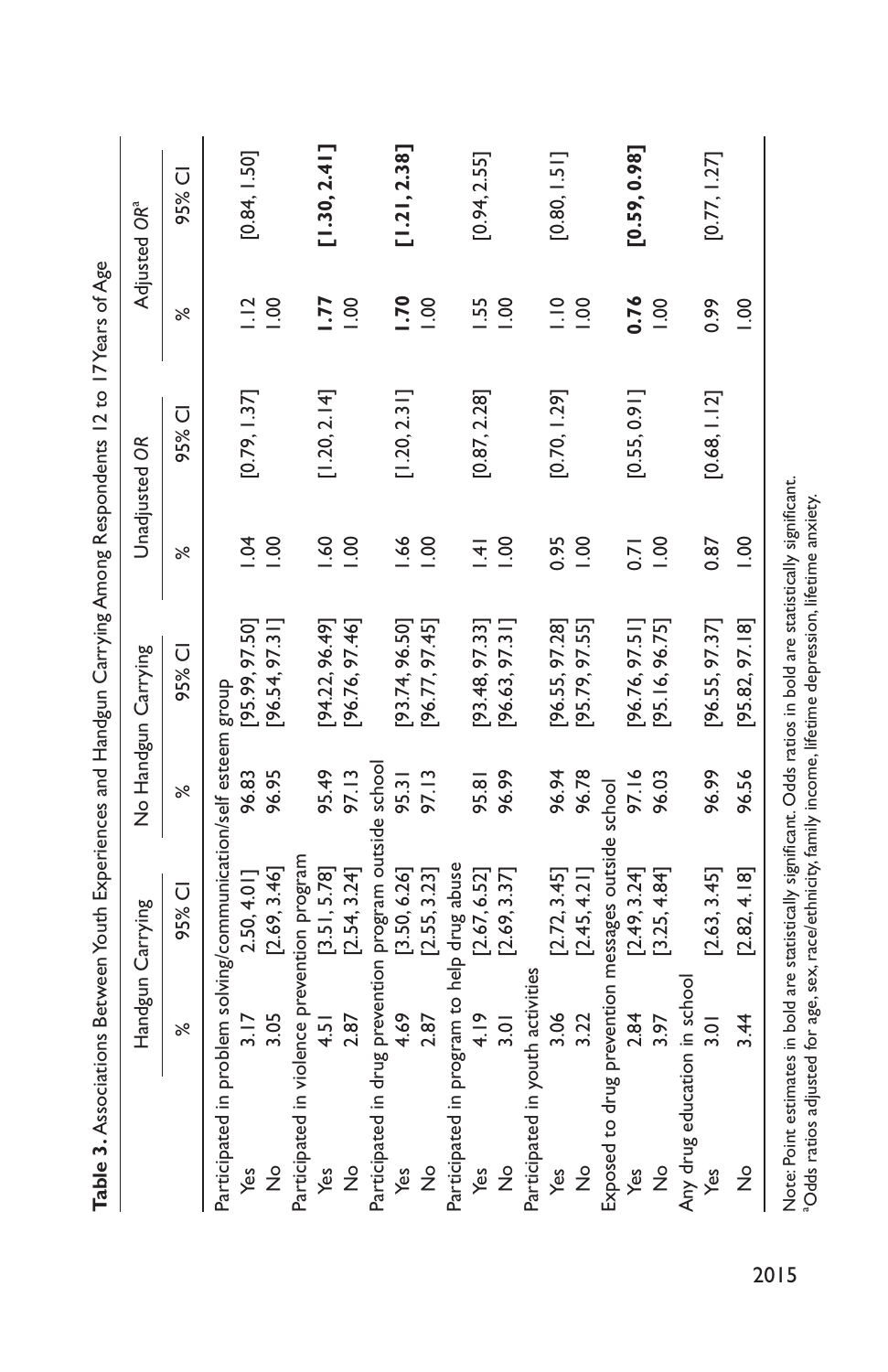|                                                                 |                    |                  |       | Table 3. Associations Between Youth Experiences and Handgun Carrying Among Respondents 12 to 17 Years of Age                                                                                                                 |                 |               |                 |                          |
|-----------------------------------------------------------------|--------------------|------------------|-------|------------------------------------------------------------------------------------------------------------------------------------------------------------------------------------------------------------------------------|-----------------|---------------|-----------------|--------------------------|
|                                                                 |                    | Handgun Carrying |       | No Handgun Carrying                                                                                                                                                                                                          |                 | Unadjusted OR |                 | Adjusted OR <sup>a</sup> |
|                                                                 | ৯ৎ                 | 95% CI           | ৯ৎ    | 95% CI                                                                                                                                                                                                                       | ৯ৎ              | 95% CI        | ৯ৎ              | 95% CI                   |
| Participated in problem solving/communication/self esteem group |                    |                  |       |                                                                                                                                                                                                                              |                 |               |                 |                          |
| yes                                                             | $\frac{7}{3}$      | 2.50, 4.01]      | 96.83 | [95.99, 97.50]                                                                                                                                                                                                               | \$              | [0.79, 1.37]  | $\frac{12}{1}$  | [0.84, 1.50]             |
| $\frac{1}{2}$                                                   | 3.05               | [2.69, 3.46]     | 96.95 | [96.54, 97.31]                                                                                                                                                                                                               | $\frac{8}{100}$ |               | $\frac{8}{10}$  |                          |
| Participated in violence prevention program                     |                    |                  |       |                                                                                                                                                                                                                              |                 |               |                 |                          |
| Yes                                                             | 4.51               | [3.51, 5.78]     | 95.49 | [94.22, 96.49]                                                                                                                                                                                                               | 60              | [1.20, 2.14]  | $\overline{77}$ | [1.30, 2.41]             |
| ž                                                               | 2.87               | [2.54, 3.24]     | 97.13 | [96.76, 97.46]                                                                                                                                                                                                               | $\frac{8}{100}$ |               | 00.1            |                          |
| Participated in drug prevention program outside school          |                    |                  |       |                                                                                                                                                                                                                              |                 |               |                 |                          |
| Yes                                                             | 4.69               | [3.50, 6.26]     | 95.31 | [93.74, 96.50]                                                                                                                                                                                                               | $-66$           | [1.20, 2.31]  | 1.70            | [1.21, 2.38]             |
| $\frac{1}{2}$                                                   | 2.87               | [2.55, 3.23]     | 97.13 | [96.77, 97.45]                                                                                                                                                                                                               | $\frac{8}{10}$  |               | $\frac{8}{100}$ |                          |
| Participated in program to help drug abuse                      |                    |                  |       |                                                                                                                                                                                                                              |                 |               |                 |                          |
| Yes                                                             | 4.19               | [2.67, 6.52]     | 95.81 | [93, 48, 97, 33]                                                                                                                                                                                                             | $\overline{+}$  | [0.87, 2.28]  | $-55$           | [0.94, 2.55]             |
| $\frac{1}{2}$                                                   | $\overline{3}$ .01 | [2.69, 3.37]     | 96.99 | [96.63, 97.31]                                                                                                                                                                                                               | $\frac{8}{10}$  |               | 00.1            |                          |
| Participated in youth activities                                |                    |                  |       |                                                                                                                                                                                                                              |                 |               |                 |                          |
| Yes                                                             | 3.06               | [2.72, 3.45]     | 96.94 | [96.55, 97.28]                                                                                                                                                                                                               | 0.95            | [0.70, 1.29]  | $\frac{1}{2}$   | [0.80, 1.51]             |
| $\frac{1}{2}$                                                   | 3.22               | [2.45, 4.21]     | 96.78 | [95.79, 97.55]                                                                                                                                                                                                               | $\frac{8}{1}$   |               | $\frac{8}{100}$ |                          |
| Exposed to drug prevention messages outside school              |                    |                  |       |                                                                                                                                                                                                                              |                 |               |                 |                          |
| Yes                                                             | 2.84               | [2.49, 3.24]     | 97.16 | [96.76, 97.51]                                                                                                                                                                                                               | 0.71            | [0.55, 0.91]  | 0.76            | [0.59, 0.98]             |
| $\frac{1}{2}$                                                   | 3.97               | [3.25, 4.84]     | 96.03 | [95.16, 96.75]                                                                                                                                                                                                               | $\frac{8}{1}$   |               | $\frac{8}{10}$  |                          |
| Any drug education in school                                    |                    |                  |       |                                                                                                                                                                                                                              |                 |               |                 |                          |
| Yes                                                             | $\overline{5}$     | [2.63, 3.45]     | 96.99 | [96.55, 97.37]                                                                                                                                                                                                               | 0.87            | [0.68, 1.12]  | 0.99            | [0.77, 1.27]             |
| $\frac{1}{2}$                                                   | 3.44               | [2.82, 4.18]     | 96.56 | [95.82, 97.18]                                                                                                                                                                                                               | $\frac{8}{1}$   |               | $\frac{8}{1}$   |                          |
|                                                                 |                    |                  |       | Note: Point estimates in bold are statistically significant. Odds ratios in bold are statistically significant.<br>aOdds ratios adjusted for age, sex, race/ethnicity, family income, lifetime depression, lifetime anxiety. |                 |               |                 |                          |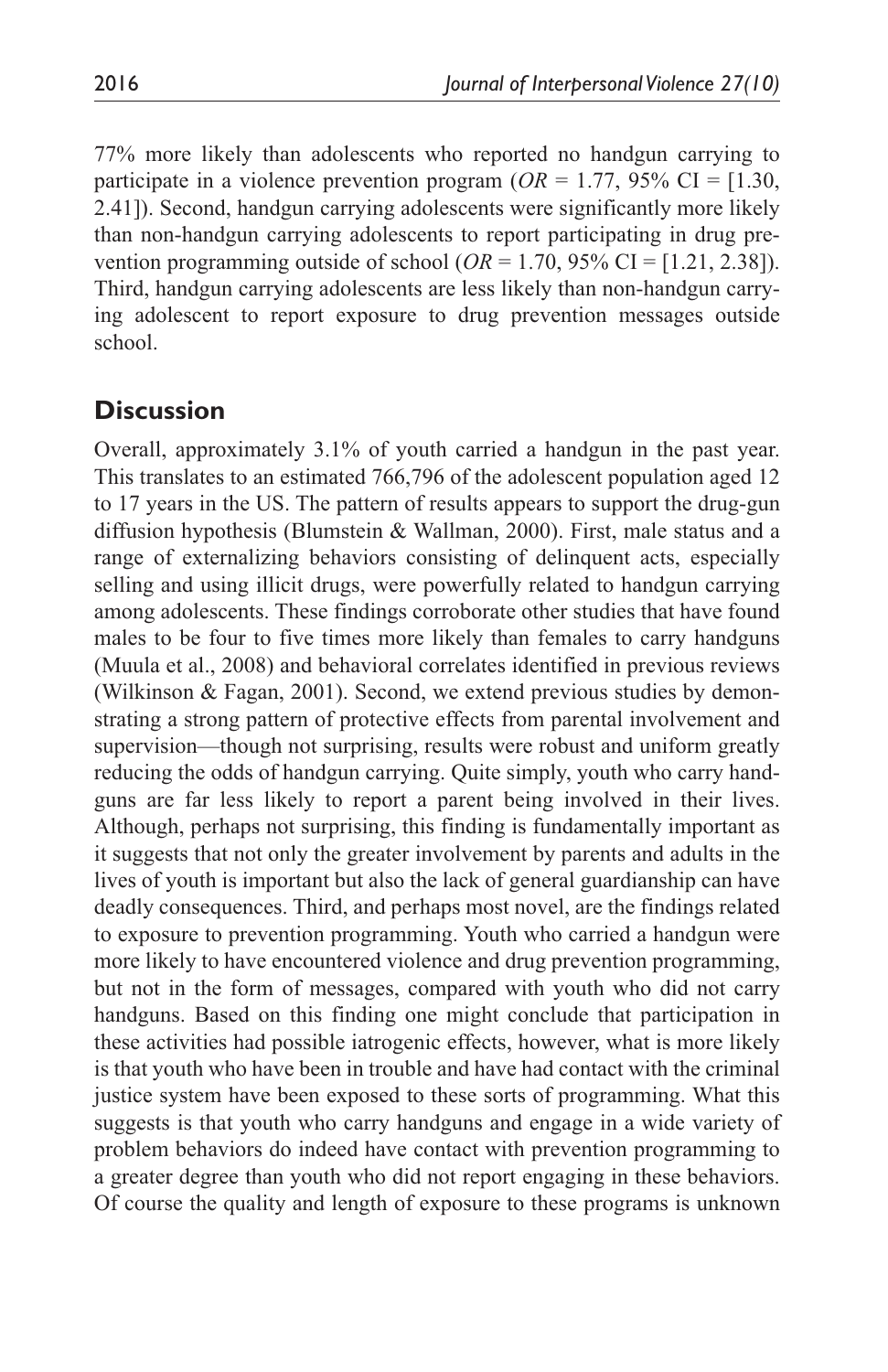77% more likely than adolescents who reported no handgun carrying to participate in a violence prevention program  $(OR = 1.77, 95\% \text{ CI} = [1.30,$ 2.41]). Second, handgun carrying adolescents were significantly more likely than non-handgun carrying adolescents to report participating in drug prevention programming outside of school ( $OR = 1.70$ , 95% CI = [1.21, 2.38]). Third, handgun carrying adolescents are less likely than non-handgun carrying adolescent to report exposure to drug prevention messages outside school.

### **Discussion**

Overall, approximately 3.1% of youth carried a handgun in the past year. This translates to an estimated 766,796 of the adolescent population aged 12 to 17 years in the US. The pattern of results appears to support the drug-gun diffusion hypothesis (Blumstein & Wallman, 2000). First, male status and a range of externalizing behaviors consisting of delinquent acts, especially selling and using illicit drugs, were powerfully related to handgun carrying among adolescents. These findings corroborate other studies that have found males to be four to five times more likely than females to carry handguns (Muula et al., 2008) and behavioral correlates identified in previous reviews (Wilkinson & Fagan, 2001). Second, we extend previous studies by demonstrating a strong pattern of protective effects from parental involvement and supervision—though not surprising, results were robust and uniform greatly reducing the odds of handgun carrying. Quite simply, youth who carry handguns are far less likely to report a parent being involved in their lives. Although, perhaps not surprising, this finding is fundamentally important as it suggests that not only the greater involvement by parents and adults in the lives of youth is important but also the lack of general guardianship can have deadly consequences. Third, and perhaps most novel, are the findings related to exposure to prevention programming. Youth who carried a handgun were more likely to have encountered violence and drug prevention programming, but not in the form of messages, compared with youth who did not carry handguns. Based on this finding one might conclude that participation in these activities had possible iatrogenic effects, however, what is more likely is that youth who have been in trouble and have had contact with the criminal justice system have been exposed to these sorts of programming. What this suggests is that youth who carry handguns and engage in a wide variety of problem behaviors do indeed have contact with prevention programming to a greater degree than youth who did not report engaging in these behaviors. Of course the quality and length of exposure to these programs is unknown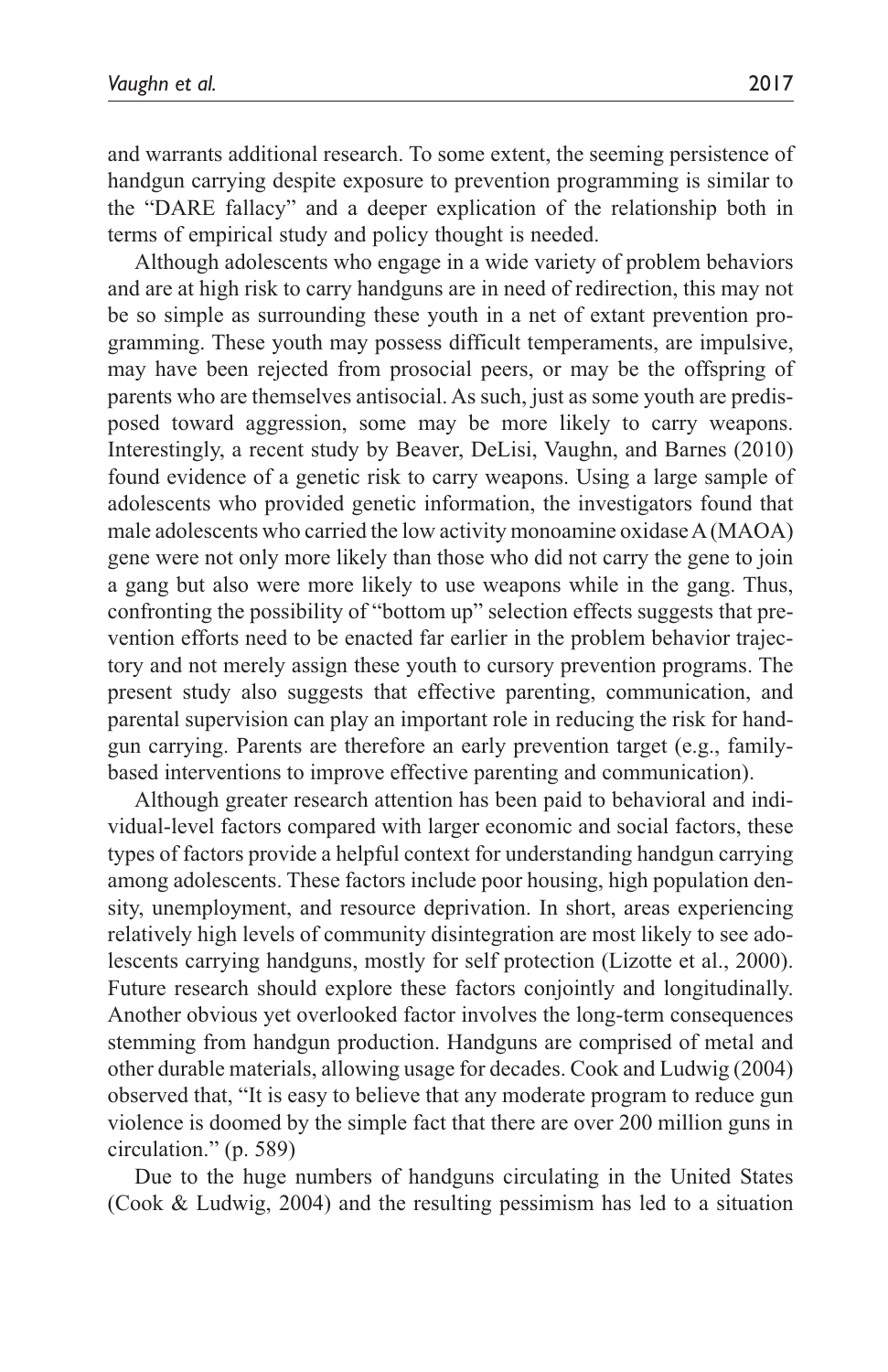and warrants additional research. To some extent, the seeming persistence of handgun carrying despite exposure to prevention programming is similar to the "DARE fallacy" and a deeper explication of the relationship both in terms of empirical study and policy thought is needed.

Although adolescents who engage in a wide variety of problem behaviors and are at high risk to carry handguns are in need of redirection, this may not be so simple as surrounding these youth in a net of extant prevention programming. These youth may possess difficult temperaments, are impulsive, may have been rejected from prosocial peers, or may be the offspring of parents who are themselves antisocial. As such, just as some youth are predisposed toward aggression, some may be more likely to carry weapons. Interestingly, a recent study by Beaver, DeLisi, Vaughn, and Barnes (2010) found evidence of a genetic risk to carry weapons. Using a large sample of adolescents who provided genetic information, the investigators found that male adolescents who carried the low activity monoamine oxidase A (MAOA) gene were not only more likely than those who did not carry the gene to join a gang but also were more likely to use weapons while in the gang. Thus, confronting the possibility of "bottom up" selection effects suggests that prevention efforts need to be enacted far earlier in the problem behavior trajectory and not merely assign these youth to cursory prevention programs. The present study also suggests that effective parenting, communication, and parental supervision can play an important role in reducing the risk for handgun carrying. Parents are therefore an early prevention target (e.g., familybased interventions to improve effective parenting and communication).

Although greater research attention has been paid to behavioral and individual-level factors compared with larger economic and social factors, these types of factors provide a helpful context for understanding handgun carrying among adolescents. These factors include poor housing, high population density, unemployment, and resource deprivation. In short, areas experiencing relatively high levels of community disintegration are most likely to see adolescents carrying handguns, mostly for self protection (Lizotte et al., 2000). Future research should explore these factors conjointly and longitudinally. Another obvious yet overlooked factor involves the long-term consequences stemming from handgun production. Handguns are comprised of metal and other durable materials, allowing usage for decades. Cook and Ludwig (2004) observed that, "It is easy to believe that any moderate program to reduce gun violence is doomed by the simple fact that there are over 200 million guns in circulation." (p. 589)

Due to the huge numbers of handguns circulating in the United States (Cook & Ludwig, 2004) and the resulting pessimism has led to a situation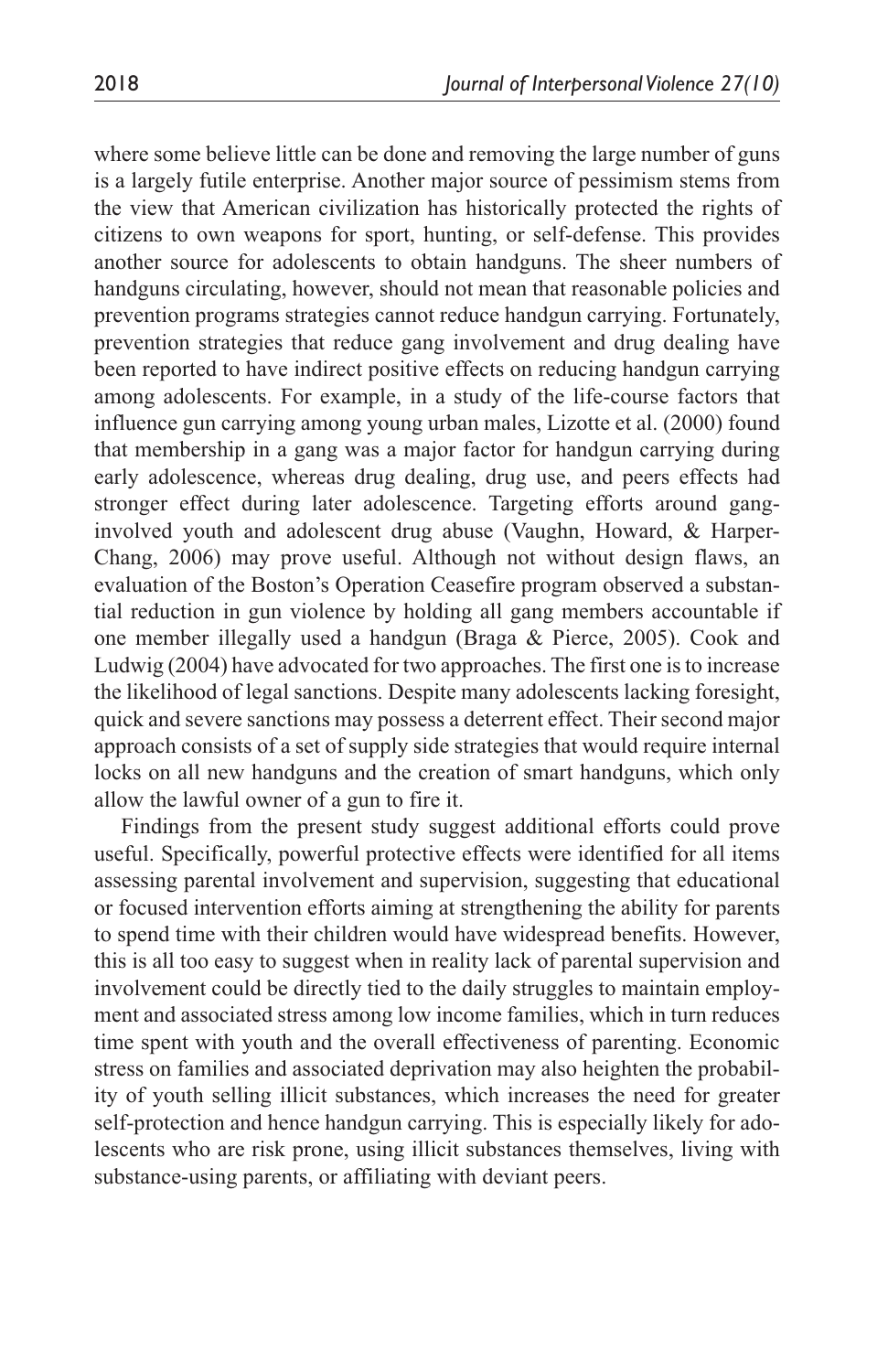where some believe little can be done and removing the large number of guns is a largely futile enterprise. Another major source of pessimism stems from the view that American civilization has historically protected the rights of citizens to own weapons for sport, hunting, or self-defense. This provides another source for adolescents to obtain handguns. The sheer numbers of handguns circulating, however, should not mean that reasonable policies and prevention programs strategies cannot reduce handgun carrying. Fortunately, prevention strategies that reduce gang involvement and drug dealing have been reported to have indirect positive effects on reducing handgun carrying among adolescents. For example, in a study of the life-course factors that influence gun carrying among young urban males, Lizotte et al. (2000) found that membership in a gang was a major factor for handgun carrying during early adolescence, whereas drug dealing, drug use, and peers effects had stronger effect during later adolescence. Targeting efforts around ganginvolved youth and adolescent drug abuse (Vaughn, Howard, & Harper-Chang, 2006) may prove useful. Although not without design flaws, an evaluation of the Boston's Operation Ceasefire program observed a substantial reduction in gun violence by holding all gang members accountable if one member illegally used a handgun (Braga & Pierce, 2005). Cook and Ludwig (2004) have advocated for two approaches. The first one is to increase the likelihood of legal sanctions. Despite many adolescents lacking foresight, quick and severe sanctions may possess a deterrent effect. Their second major approach consists of a set of supply side strategies that would require internal locks on all new handguns and the creation of smart handguns, which only allow the lawful owner of a gun to fire it.

Findings from the present study suggest additional efforts could prove useful. Specifically, powerful protective effects were identified for all items assessing parental involvement and supervision, suggesting that educational or focused intervention efforts aiming at strengthening the ability for parents to spend time with their children would have widespread benefits. However, this is all too easy to suggest when in reality lack of parental supervision and involvement could be directly tied to the daily struggles to maintain employment and associated stress among low income families, which in turn reduces time spent with youth and the overall effectiveness of parenting. Economic stress on families and associated deprivation may also heighten the probability of youth selling illicit substances, which increases the need for greater self-protection and hence handgun carrying. This is especially likely for adolescents who are risk prone, using illicit substances themselves, living with substance-using parents, or affiliating with deviant peers.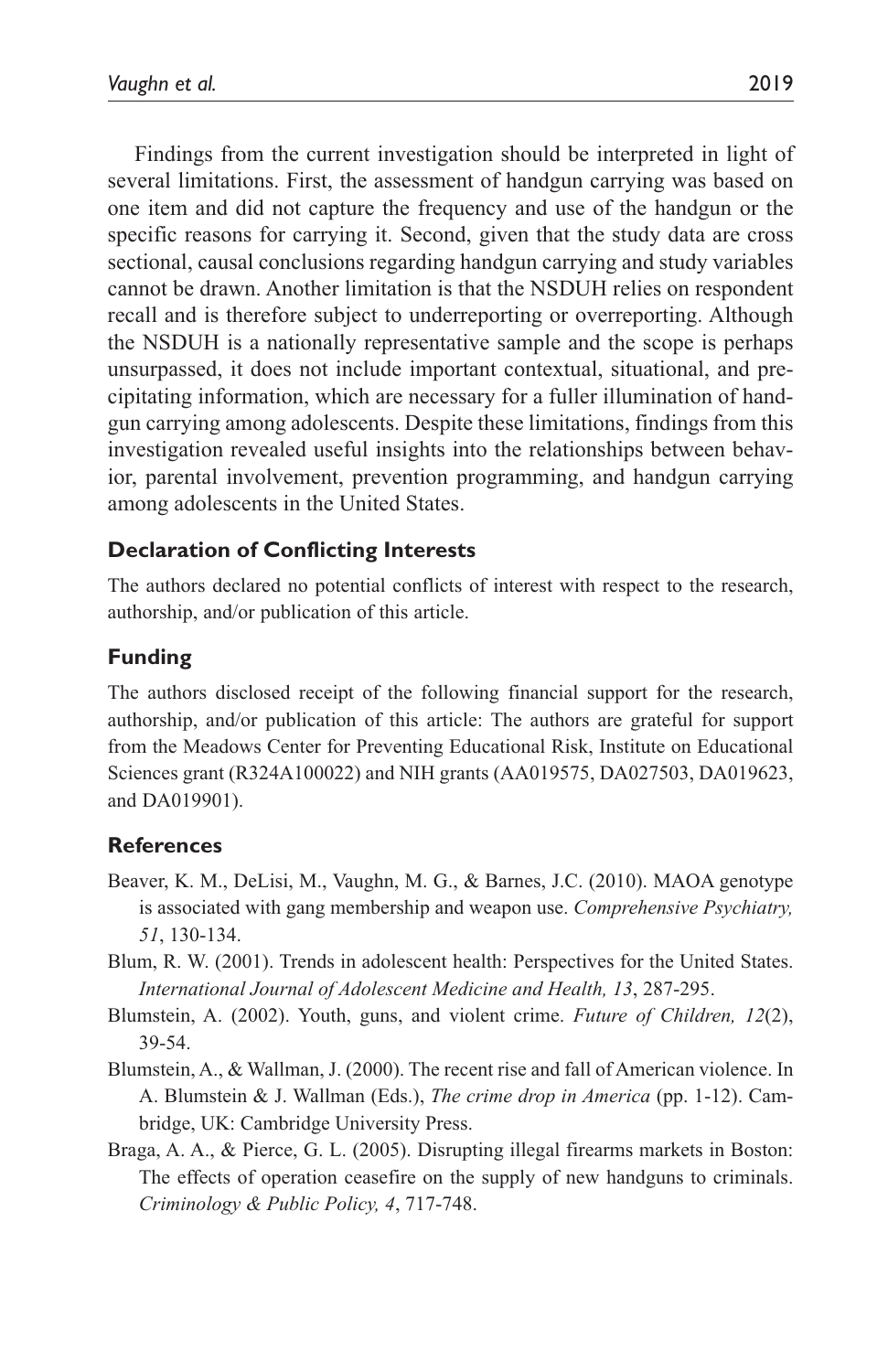Findings from the current investigation should be interpreted in light of several limitations. First, the assessment of handgun carrying was based on one item and did not capture the frequency and use of the handgun or the specific reasons for carrying it. Second, given that the study data are cross sectional, causal conclusions regarding handgun carrying and study variables cannot be drawn. Another limitation is that the NSDUH relies on respondent recall and is therefore subject to underreporting or overreporting. Although the NSDUH is a nationally representative sample and the scope is perhaps unsurpassed, it does not include important contextual, situational, and precipitating information, which are necessary for a fuller illumination of handgun carrying among adolescents. Despite these limitations, findings from this investigation revealed useful insights into the relationships between behavior, parental involvement, prevention programming, and handgun carrying among adolescents in the United States.

#### **Declaration of Conflicting Interests**

The authors declared no potential conflicts of interest with respect to the research, authorship, and/or publication of this article.

#### **Funding**

The authors disclosed receipt of the following financial support for the research, authorship, and/or publication of this article: The authors are grateful for support from the Meadows Center for Preventing Educational Risk, Institute on Educational Sciences grant (R324A100022) and NIH grants (AA019575, DA027503, DA019623, and DA019901).

#### **References**

- Beaver, K. M., DeLisi, M., Vaughn, M. G., & Barnes, J.C. (2010). MAOA genotype is associated with gang membership and weapon use. *Comprehensive Psychiatry, 51*, 130-134.
- Blum, R. W. (2001). Trends in adolescent health: Perspectives for the United States. *International Journal of Adolescent Medicine and Health, 13*, 287-295.
- Blumstein, A. (2002). Youth, guns, and violent crime. *Future of Children, 12*(2), 39-54.
- Blumstein, A., & Wallman, J. (2000). The recent rise and fall of American violence. In A. Blumstein & J. Wallman (Eds.), *The crime drop in America* (pp. 1-12). Cambridge, UK: Cambridge University Press.
- Braga, A. A., & Pierce, G. L. (2005). Disrupting illegal firearms markets in Boston: The effects of operation ceasefire on the supply of new handguns to criminals. *Criminology & Public Policy, 4*, 717-748.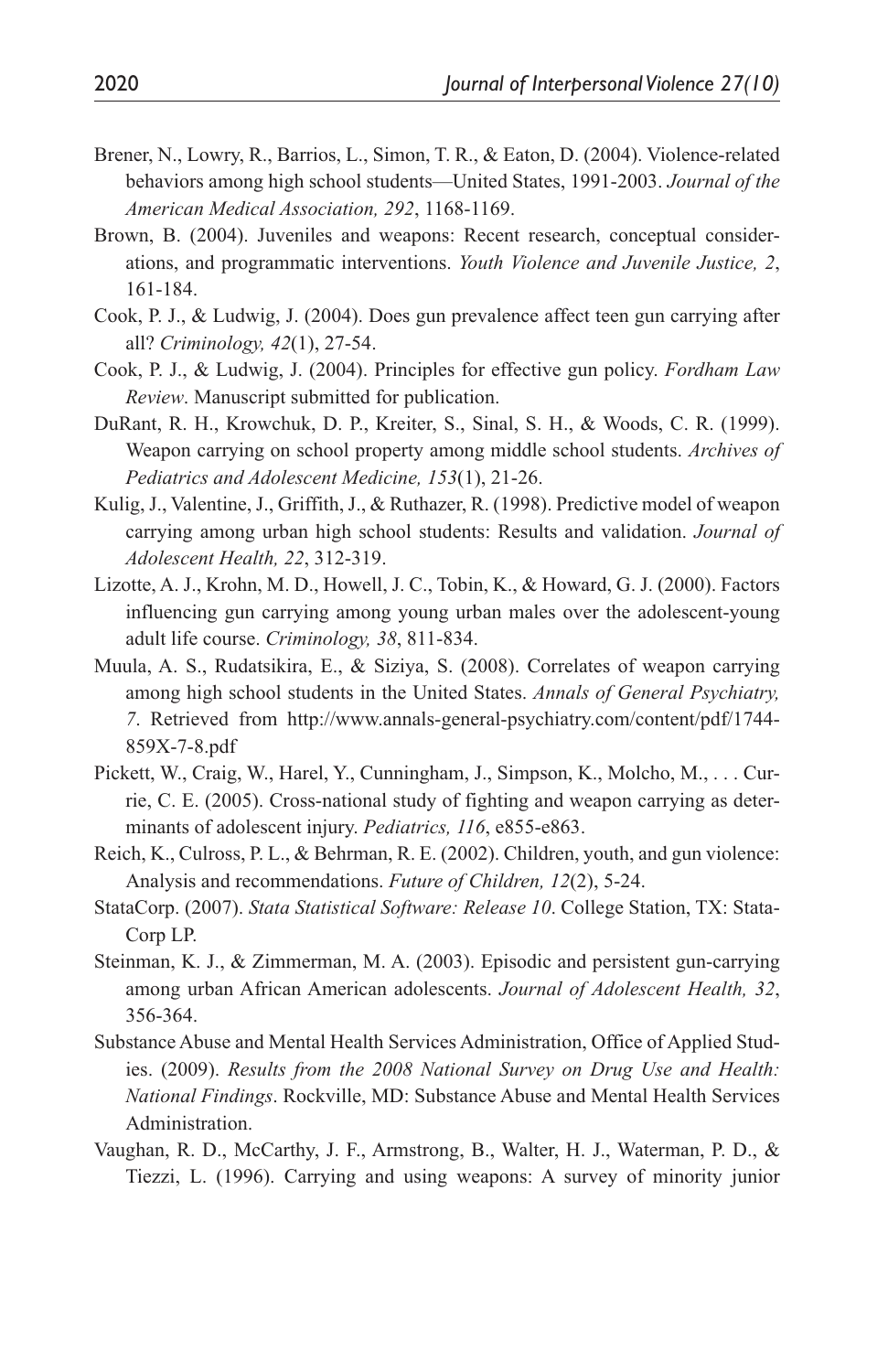- Brener, N., Lowry, R., Barrios, L., Simon, T. R., & Eaton, D. (2004). Violence-related behaviors among high school students—United States, 1991-2003. *Journal of the American Medical Association, 292*, 1168-1169.
- Brown, B. (2004). Juveniles and weapons: Recent research, conceptual considerations, and programmatic interventions. *Youth Violence and Juvenile Justice, 2*, 161-184.
- Cook, P. J., & Ludwig, J. (2004). Does gun prevalence affect teen gun carrying after all? *Criminology, 42*(1), 27-54.
- Cook, P. J., & Ludwig, J. (2004). Principles for effective gun policy. *Fordham Law Review*. Manuscript submitted for publication.
- DuRant, R. H., Krowchuk, D. P., Kreiter, S., Sinal, S. H., & Woods, C. R. (1999). Weapon carrying on school property among middle school students. *Archives of Pediatrics and Adolescent Medicine, 153*(1), 21-26.
- Kulig, J., Valentine, J., Griffith, J., & Ruthazer, R. (1998). Predictive model of weapon carrying among urban high school students: Results and validation. *Journal of Adolescent Health, 22*, 312-319.
- Lizotte, A. J., Krohn, M. D., Howell, J. C., Tobin, K., & Howard, G. J. (2000). Factors influencing gun carrying among young urban males over the adolescent-young adult life course. *Criminology, 38*, 811-834.
- Muula, A. S., Rudatsikira, E., & Siziya, S. (2008). Correlates of weapon carrying among high school students in the United States. *Annals of General Psychiatry, 7*. Retrieved from http://www.annals-general-psychiatry.com/content/pdf/1744- 859X-7-8.pdf
- Pickett, W., Craig, W., Harel, Y., Cunningham, J., Simpson, K., Molcho, M., . . . Currie, C. E. (2005). Cross-national study of fighting and weapon carrying as determinants of adolescent injury. *Pediatrics, 116*, e855-e863.
- Reich, K., Culross, P. L., & Behrman, R. E. (2002). Children, youth, and gun violence: Analysis and recommendations. *Future of Children, 12*(2), 5-24.
- StataCorp. (2007). *Stata Statistical Software: Release 10*. College Station, TX: Stata-Corp LP.
- Steinman, K. J., & Zimmerman, M. A. (2003). Episodic and persistent gun-carrying among urban African American adolescents. *Journal of Adolescent Health, 32*, 356-364.
- Substance Abuse and Mental Health Services Administration, Office of Applied Studies. (2009). *Results from the 2008 National Survey on Drug Use and Health: National Findings*. Rockville, MD: Substance Abuse and Mental Health Services Administration.
- Vaughan, R. D., McCarthy, J. F., Armstrong, B., Walter, H. J., Waterman, P. D., & Tiezzi, L. (1996). Carrying and using weapons: A survey of minority junior